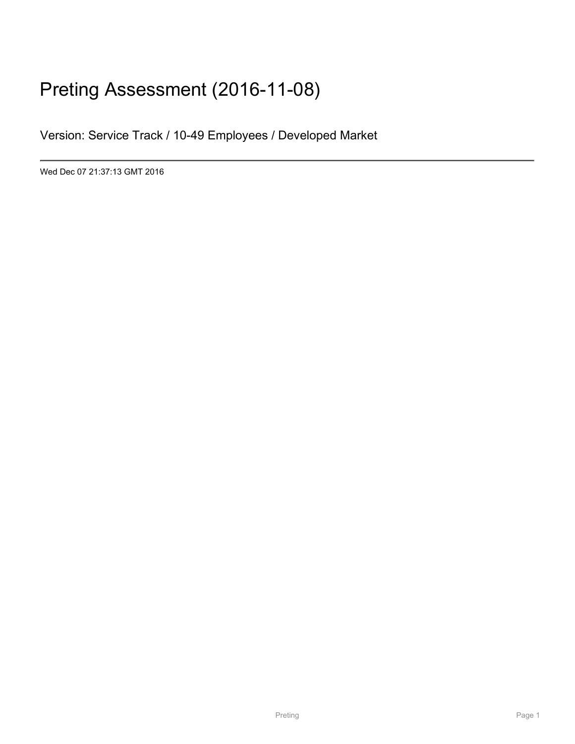# Preting Assessment (2016-11-08)

Version: Service Track / 10-49 Employees / Developed Market

Wed Dec 07 21:37:13 GMT 2016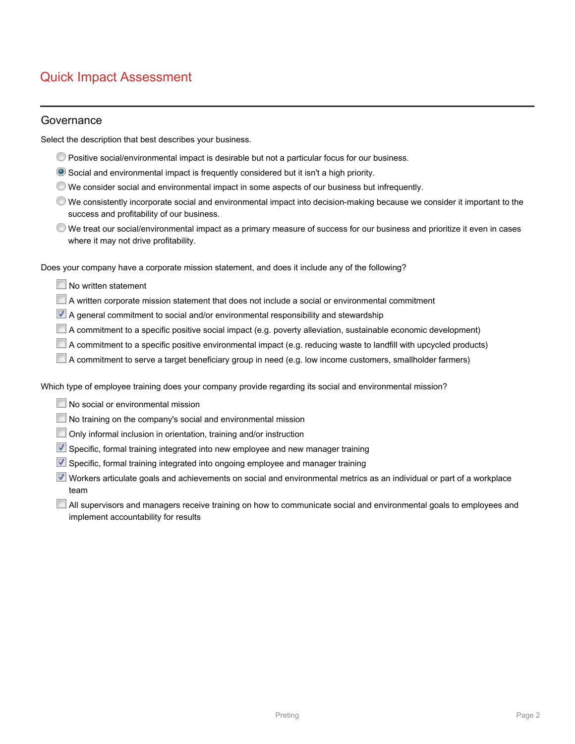# Quick Impact Assessment

#### Governance

Select the description that best describes your business.

- Positive social/environmental impact is desirable but not a particular focus for our business.
- Social and environmental impact is frequently considered but it isn't a high priority.
- We consider social and environmental impact in some aspects of our business but infrequently.
- We consistently incorporate social and environmental impact into decision-making because we consider it important to the success and profitability of our business.
- We treat our social/environmental impact as a primary measure of success for our business and prioritize it even in cases where it may not drive profitability.

Does your company have a corporate mission statement, and does it include any of the following?

- No written statement
- A written corporate mission statement that does not include a social or environmental commitment
- A general commitment to social and/or environmental responsibility and stewardship
- A commitment to a specific positive social impact (e.g. poverty alleviation, sustainable economic development)
- A commitment to a specific positive environmental impact (e.g. reducing waste to landfill with upcycled products)
- A commitment to serve a target beneficiary group in need (e.g. low income customers, smallholder farmers)

Which type of employee training does your company provide regarding its social and environmental mission?

- No social or environmental mission
- No training on the company's social and environmental mission
- Only informal inclusion in orientation, training and/or instruction
- Specific, formal training integrated into new employee and new manager training
- Specific, formal training integrated into ongoing employee and manager training
- Workers articulate goals and achievements on social and environmental metrics as an individual or part of a workplace team
- All supervisors and managers receive training on how to communicate social and environmental goals to employees and implement accountability for results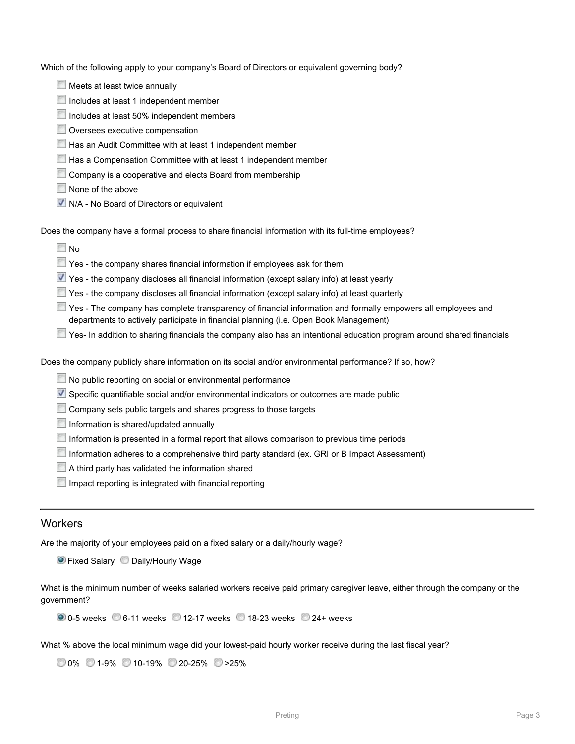Which of the following apply to your company's Board of Directors or equivalent governing body?

- Meets at least twice annually
- Includes at least 1 independent member
- Includes at least 50% independent members
- **Oversees executive compensation**
- Has an Audit Committee with at least 1 independent member
- Has a Compensation Committee with at least 1 independent member
- Company is a cooperative and elects Board from membership
- None of the above
- **V** N/A No Board of Directors or equivalent

Does the company have a formal process to share financial information with its full-time employees?

- **No**
- The Yes the company shares financial information if employees ask for them
- Yes the company discloses all financial information (except salary info) at least yearly
- $\blacksquare$  Yes the company discloses all financial information (except salary info) at least quarterly
- Yes The company has complete transparency of financial information and formally empowers all employees and departments to actively participate in financial planning (i.e. Open Book Management)
- Yes- In addition to sharing financials the company also has an intentional education program around shared financials

Does the company publicly share information on its social and/or environmental performance? If so, how?

- No public reporting on social or environmental performance
- Specific quantifiable social and/or environmental indicators or outcomes are made public
- Company sets public targets and shares progress to those targets
- Information is shared/updated annually
- Information is presented in a formal report that allows comparison to previous time periods
- Information adheres to a comprehensive third party standard (ex. GRI or B Impact Assessment)
- A third party has validated the information shared
- Impact reporting is integrated with financial reporting

### **Workers**

Are the majority of your employees paid on a fixed salary or a daily/hourly wage?

**O** Fixed Salary C Daily/Hourly Wage

What is the minimum number of weeks salaried workers receive paid primary caregiver leave, either through the company or the government?

| ● 0-5 weeks ● 6-11 weeks ● 12-17 weeks ● 18-23 weeks ● 24+ weeks |
|------------------------------------------------------------------|
|------------------------------------------------------------------|

What % above the local minimum wage did your lowest-paid hourly worker receive during the last fiscal year?

|  | $\bigcirc$ 0% $\bigcirc$ 1-9% $\bigcirc$ 10-19% $\bigcirc$ 20-25% $\bigcirc$ >25% |  |
|--|-----------------------------------------------------------------------------------|--|
|  |                                                                                   |  |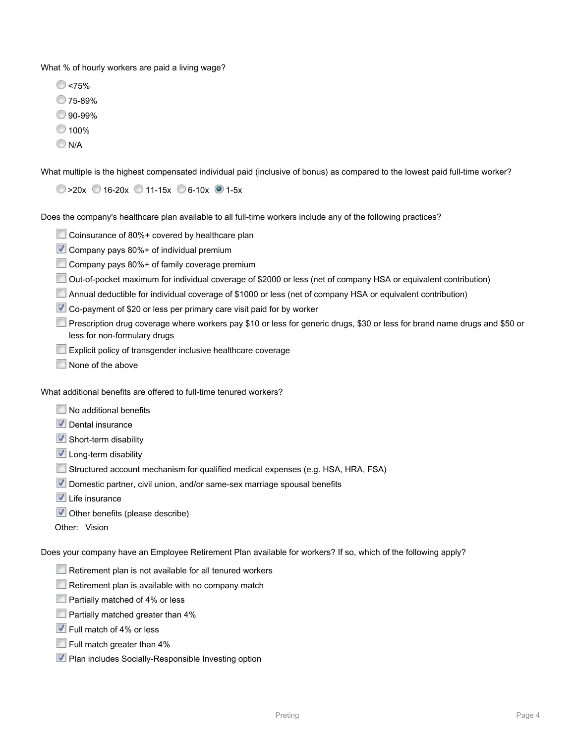What % of hourly workers are paid a living wage?

- **C** <75%
- 75-89%
- 90-99%
- 100%
- $N/A$

What multiple is the highest compensated individual paid (inclusive of bonus) as compared to the lowest paid full-time worker?

 $\circ$  >20x 16-20x 11-15x 6-10x 1-5x

Does the company's healthcare plan available to all full-time workers include any of the following practices?

- Coinsurance of 80%+ covered by healthcare plan
- Company pays 80%+ of individual premium
- Company pays 80%+ of family coverage premium
- Out-of-pocket maximum for individual coverage of \$2000 or less (net of company HSA or equivalent contribution)
- Annual deductible for individual coverage of \$1000 or less (net of company HSA or equivalent contribution)
- Co-payment of \$20 or less per primary care visit paid for by worker
- Prescription drug coverage where workers pay \$10 or less for generic drugs, \$30 or less for brand name drugs and \$50 or less for non-formulary drugs
- **Explicit policy of transgender inclusive healthcare coverage**
- None of the above

What additional benefits are offered to full-time tenured workers?

- No additional benefits
- Dental insurance
- $\blacktriangledown$  Short-term disability
- Long-term disability
- Structured account mechanism for qualified medical expenses (e.g. HSA, HRA, FSA)
- Domestic partner, civil union, and/or same-sex marriage spousal benefits
- $\blacksquare$  Life insurance
- Other benefits (please describe)
- Other: Vision

Does your company have an Employee Retirement Plan available for workers? If so, which of the following apply?

- $\Box$  Retirement plan is not available for all tenured workers
- Retirement plan is available with no company match
- **Partially matched of 4% or less**
- **Partially matched greater than 4%**
- **V** Full match of 4% or less
- Full match greater than 4%
- **Plan includes Socially-Responsible Investing option**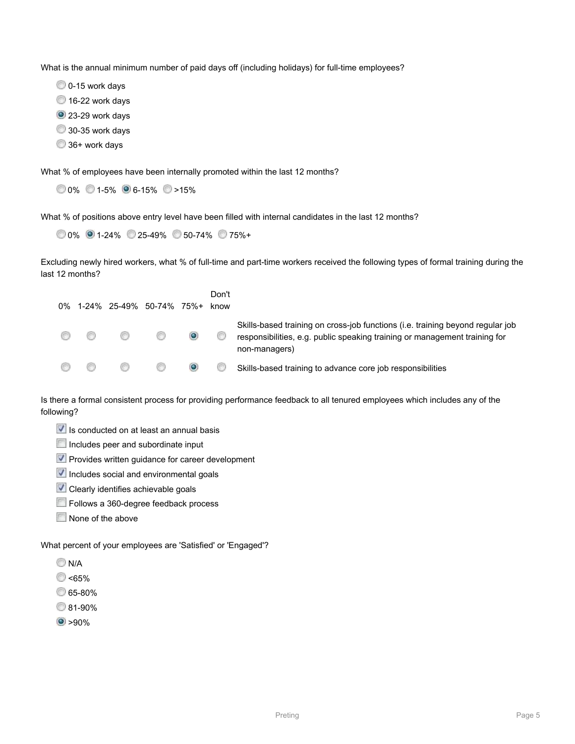What is the annual minimum number of paid days off (including holidays) for full-time employees?

- O 0-15 work days
- <sup>16-22</sup> work days
- <sup>2</sup> 23-29 work days
- 30-35 work days
- 36+ work days

What % of employees have been internally promoted within the last 12 months?

 $0.0\%$  0.1-5% 6-15%  $\circ$  >15%

What % of positions above entry level have been filled with internal candidates in the last 12 months?

0% 1-24% 25-49% 50-74% 75%+

Excluding newly hired workers, what % of full-time and part-time workers received the following types of formal training during the last 12 months?

| 0% |      | 1-24% 25-49% 50-74% 75%+ |         | Don't<br>know |                                                                                                                                                                               |
|----|------|--------------------------|---------|---------------|-------------------------------------------------------------------------------------------------------------------------------------------------------------------------------|
|    | CE 9 |                          | $\odot$ |               | Skills-based training on cross-job functions (i.e. training beyond regular job<br>responsibilities, e.g. public speaking training or management training for<br>non-managers) |
|    |      |                          | О       |               | Skills-based training to advance core job responsibilities                                                                                                                    |

Is there a formal consistent process for providing performance feedback to all tenured employees which includes any of the following?

- $\blacksquare$  Is conducted on at least an annual basis
- Includes peer and subordinate input
- $\blacktriangledown$  Provides written guidance for career development
- $\vee$  Includes social and environmental goals
- **V** Clearly identifies achievable goals
- Follows a 360-degree feedback process
- None of the above

What percent of your employees are 'Satisfied' or 'Engaged'?

- **N/A**
- **C** <65%
- 65-80%
- 81-90%
- $\bullet$  >90%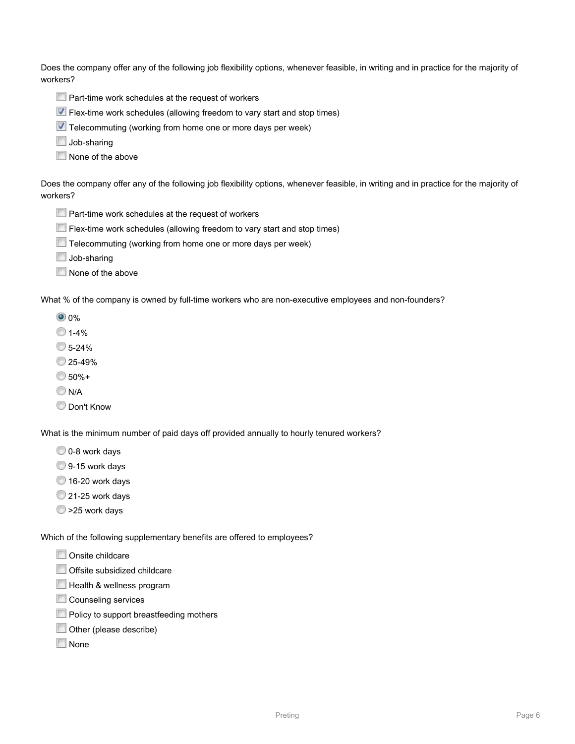Does the company offer any of the following job flexibility options, whenever feasible, in writing and in practice for the majority of workers?

- **Part-time work schedules at the request of workers**
- Flex-time work schedules (allowing freedom to vary start and stop times)
- Telecommuting (working from home one or more days per week)
- Job-sharing
- None of the above

Does the company offer any of the following job flexibility options, whenever feasible, in writing and in practice for the majority of workers?

- **Part-time work schedules at the request of workers**
- Flex-time work schedules (allowing freedom to vary start and stop times)
- Telecommuting (working from home one or more days per week)
- Job-sharing
- None of the above

What % of the company is owned by full-time workers who are non-executive employees and non-founders?

- **0** 0%
- $1 4%$
- 5-24%
- 25-49%
- 50%+
- **N/A**
- **Don't Know**

What is the minimum number of paid days off provided annually to hourly tenured workers?

- 0-8 work days
- 9-15 work days
- <sup>16-20</sup> work days
- 21-25 work days
- $\bullet$  >25 work days

Which of the following supplementary benefits are offered to employees?

- Onsite childcare
- Offsite subsidized childcare
- Health & wellness program
- Counseling services
- **Policy to support breastfeeding mothers**
- **Other (please describe)**
- None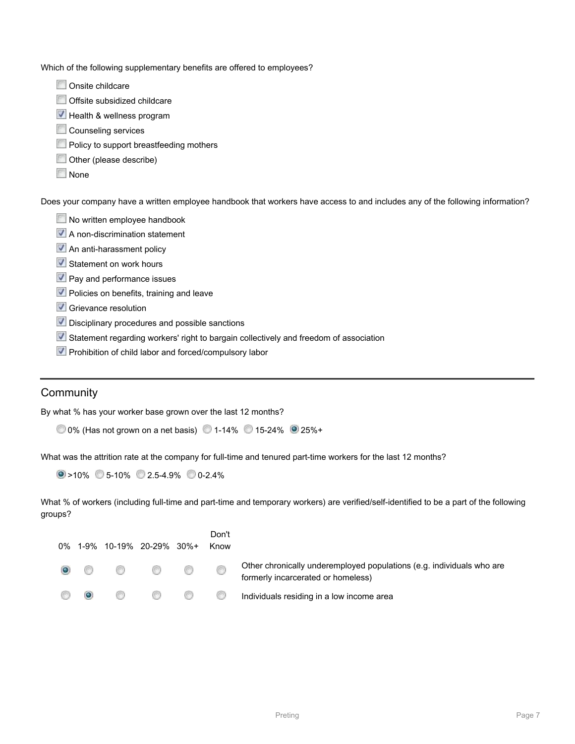Which of the following supplementary benefits are offered to employees?

- Onsite childcare
- Offsite subsidized childcare
- Health & wellness program
- Counseling services
- **Policy to support breastfeeding mothers**
- Other (please describe)
- None

Does your company have a written employee handbook that workers have access to and includes any of the following information?

- No written employee handbook
- A non-discrimination statement
- **An anti-harassment policy**
- **V** Statement on work hours
- **V** Pay and performance issues
- **V** Policies on benefits, training and leave
- Grievance resolution
- **V** Disciplinary procedures and possible sanctions
- Statement regarding workers' right to bargain collectively and freedom of association
- **V** Prohibition of child labor and forced/compulsory labor

### **Community**

By what % has your worker base grown over the last 12 months?

0% (Has not grown on a net basis) 1-14% 15-24% 25%+

What was the attrition rate at the company for full-time and tenured part-time workers for the last 12 months?

 $\circ$  >10% 5-10% 2.5-4.9% 0-2.4%

What % of workers (including full-time and part-time and temporary workers) are verified/self-identified to be a part of the following groups?

|         | 0% 1-9% 10-19% 20-29% 30%+              | Don't<br>Know |                                                                                                             |
|---------|-----------------------------------------|---------------|-------------------------------------------------------------------------------------------------------------|
|         | $\circ$ $\circ$ $\circ$ $\circ$ $\circ$ | ⊙             | Other chronically underemployed populations (e.g. individuals who are<br>formerly incarcerated or homeless) |
| $\odot$ | w                                       |               | <b>Communishers</b> Individuals residing in a low income area                                               |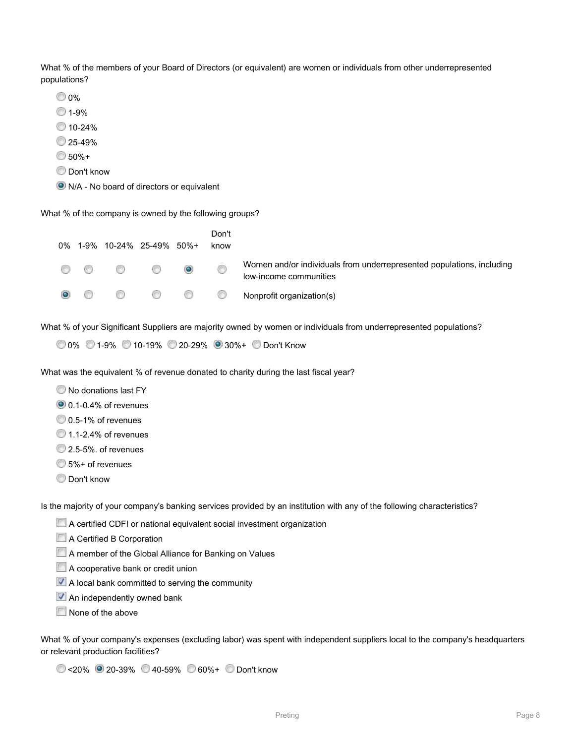What % of the members of your Board of Directors (or equivalent) are women or individuals from other underrepresented populations?

- 0%
- 1-9%
- 10-24%
- 25-49%
- 50%+
- **Don't know**
- N/A No board of directors or equivalent

What % of the company is owned by the following groups?

|  | 0% 1-9% 10-24% 25-49% 50%+ |           | Don't<br>know |                                                                                                 |
|--|----------------------------|-----------|---------------|-------------------------------------------------------------------------------------------------|
|  |                            | $\bullet$ | 6             | Women and/or individuals from underrepresented populations, including<br>low-income communities |
|  |                            |           |               | <b>O C C Nonprofit organization(s)</b>                                                          |

What % of your Significant Suppliers are majority owned by women or individuals from underrepresented populations?

```
 0% 1-9% 10-19% 20-29% 30%+ Don't Know
```
What was the equivalent % of revenue donated to charity during the last fiscal year?

 $\bullet$  No donations last FY

0.1-0.4% of revenues

- $0.5-1%$  of revenues
- <sup>1</sup>.1-2.4% of revenues
- <sup>2</sup> 2.5-5%, of revenues
- 5%+ of revenues
- **Don't know**

Is the majority of your company's banking services provided by an institution with any of the following characteristics?

- A certified CDFI or national equivalent social investment organization
- A Certified B Corporation
- A member of the Global Alliance for Banking on Values
- **A cooperative bank or credit union**
- A local bank committed to serving the community
- **An independently owned bank**
- None of the above

What % of your company's expenses (excluding labor) was spent with independent suppliers local to the company's headquarters or relevant production facilities?

<20% 20-39% 40-59% 60%+ Don't know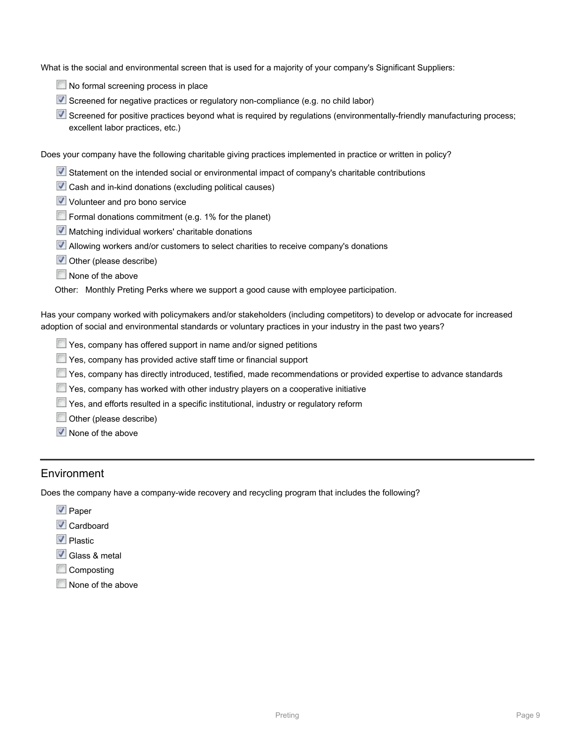What is the social and environmental screen that is used for a majority of your company's Significant Suppliers:

- No formal screening process in place
- Screened for negative practices or regulatory non-compliance (e.g. no child labor)
- $\triangledown$  Screened for positive practices beyond what is required by requlations (environmentally-friendly manufacturing process; excellent labor practices, etc.)

Does your company have the following charitable giving practices implemented in practice or written in policy?

- Statement on the intended social or environmental impact of company's charitable contributions
- Cash and in-kind donations (excluding political causes)
- V Volunteer and pro bono service
- Formal donations commitment (e.g. 1% for the planet)
- $\blacksquare$  Matching individual workers' charitable donations
- Allowing workers and/or customers to select charities to receive company's donations
- Other (please describe)
- None of the above

Other: Monthly Preting Perks where we support a good cause with employee participation.

Has your company worked with policymakers and/or stakeholders (including competitors) to develop or advocate for increased adoption of social and environmental standards or voluntary practices in your industry in the past two years?

- Yes, company has offered support in name and/or signed petitions
- Yes, company has provided active staff time or financial support
- Yes, company has directly introduced, testified, made recommendations or provided expertise to advance standards
- Yes, company has worked with other industry players on a cooperative initiative
- Yes, and efforts resulted in a specific institutional, industry or regulatory reform
- Other (please describe)
- $\sqrt{\phantom{a}}$  None of the above

### Environment

Does the company have a company-wide recovery and recycling program that includes the following?

- $\vee$  Paper
- **V** Cardboard
- **V** Plastic
- Glass & metal
- **Composting**
- None of the above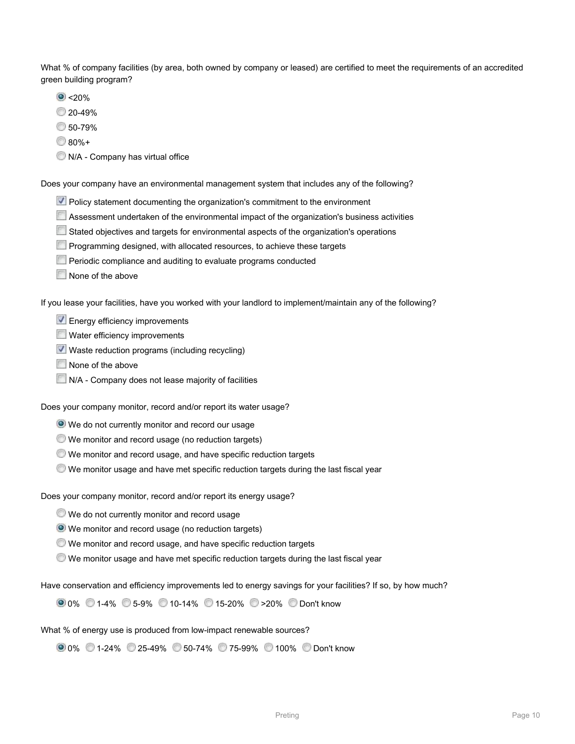What % of company facilities (by area, both owned by company or leased) are certified to meet the requirements of an accredited green building program?

- $\bullet$  <20%
- 20-49%
- 50-79%
- $80% +$
- $\bullet$  N/A Company has virtual office

Does your company have an environmental management system that includes any of the following?

- **V** Policy statement documenting the organization's commitment to the environment
- Assessment undertaken of the environmental impact of the organization's business activities
- Stated objectives and targets for environmental aspects of the organization's operations
- **Programming designed, with allocated resources, to achieve these targets**
- **Periodic compliance and auditing to evaluate programs conducted**
- None of the above

If you lease your facilities, have you worked with your landlord to implement/maintain any of the following?

- **V** Energy efficiency improvements
- Water efficiency improvements
- Waste reduction programs (including recycling)
- None of the above
- N/A Company does not lease majority of facilities

Does your company monitor, record and/or report its water usage?

- We do not currently monitor and record our usage
- We monitor and record usage (no reduction targets)
- We monitor and record usage, and have specific reduction targets
- We monitor usage and have met specific reduction targets during the last fiscal year

Does your company monitor, record and/or report its energy usage?

- We do not currently monitor and record usage
- We monitor and record usage (no reduction targets)
- We monitor and record usage, and have specific reduction targets
- We monitor usage and have met specific reduction targets during the last fiscal year

Have conservation and efficiency improvements led to energy savings for your facilities? If so, by how much?

0% 1-4% 5-9% 10-14% 15-20% >20% Don't know

What % of energy use is produced from low-impact renewable sources?

0% 1-24% 25-49% 50-74% 75-99% 100% Don't know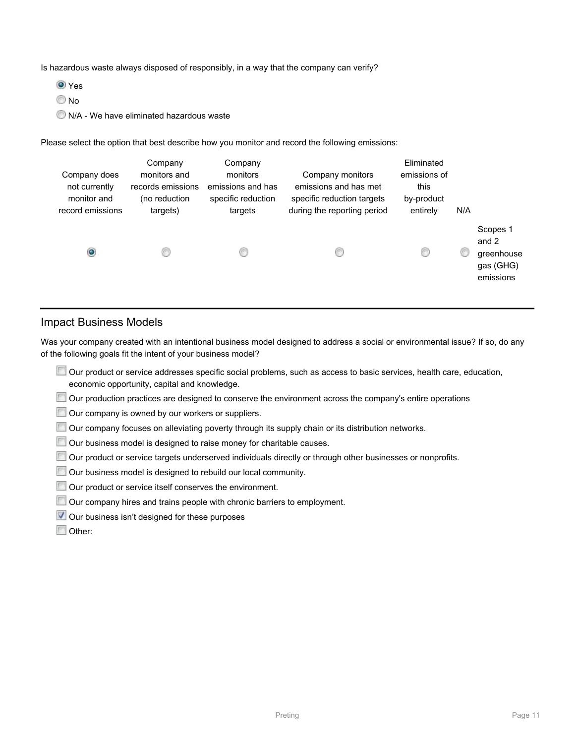Is hazardous waste always disposed of responsibly, in a way that the company can verify?

**O** Yes

<sup>O</sup>No

N/A - We have eliminated hazardous waste

Please select the option that best describe how you monitor and record the following emissions:

| Company does<br>not currently<br>monitor and<br>record emissions | Company<br>monitors and<br>records emissions<br>(no reduction<br>targets) | Company<br>monitors<br>emissions and has<br>specific reduction<br>targets | Company monitors<br>emissions and has met<br>specific reduction targets<br>during the reporting period | Eliminated<br>emissions of<br>this<br>by-product<br>entirely | N/A |                                                           |
|------------------------------------------------------------------|---------------------------------------------------------------------------|---------------------------------------------------------------------------|--------------------------------------------------------------------------------------------------------|--------------------------------------------------------------|-----|-----------------------------------------------------------|
| $\bullet$                                                        |                                                                           | 61                                                                        |                                                                                                        |                                                              |     | Scopes 1<br>and 2<br>greenhouse<br>gas (GHG)<br>emissions |

### Impact Business Models

Was your company created with an intentional business model designed to address a social or environmental issue? If so, do any of the following goals fit the intent of your business model?

- Our product or service addresses specific social problems, such as access to basic services, health care, education, economic opportunity, capital and knowledge.
- Our production practices are designed to conserve the environment across the company's entire operations
- Our company is owned by our workers or suppliers.
- Our company focuses on alleviating poverty through its supply chain or its distribution networks.
- Our business model is designed to raise money for charitable causes.
- Our product or service targets underserved individuals directly or through other businesses or nonprofits.
- Our business model is designed to rebuild our local community.
- Our product or service itself conserves the environment.
- Our company hires and trains people with chronic barriers to employment.
- Our business isn't designed for these purposes
- Other: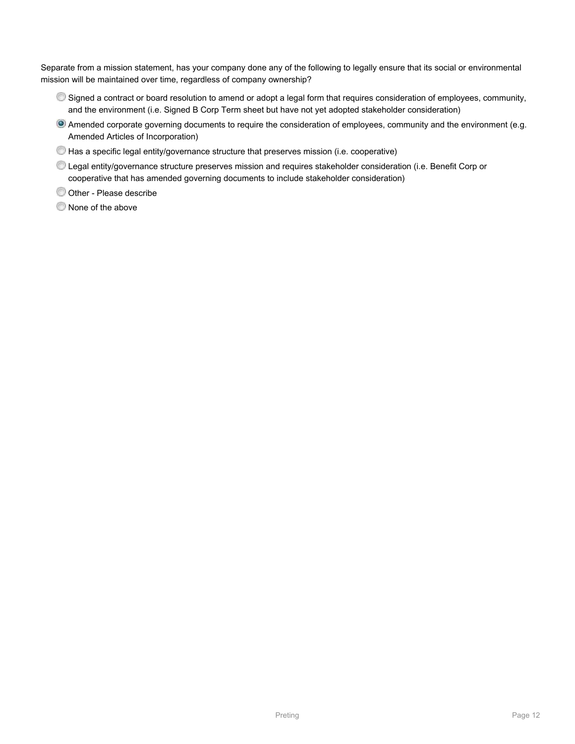Separate from a mission statement, has your company done any of the following to legally ensure that its social or environmental mission will be maintained over time, regardless of company ownership?

- Signed a contract or board resolution to amend or adopt a legal form that requires consideration of employees, community, and the environment (i.e. Signed B Corp Term sheet but have not yet adopted stakeholder consideration)
- Amended corporate governing documents to require the consideration of employees, community and the environment (e.g. Amended Articles of Incorporation)
- $\bullet$  Has a specific legal entity/governance structure that preserves mission (i.e. cooperative)
- Legal entity/governance structure preserves mission and requires stakeholder consideration (i.e. Benefit Corp or cooperative that has amended governing documents to include stakeholder consideration)
- Other Please describe
- $\bullet$  None of the above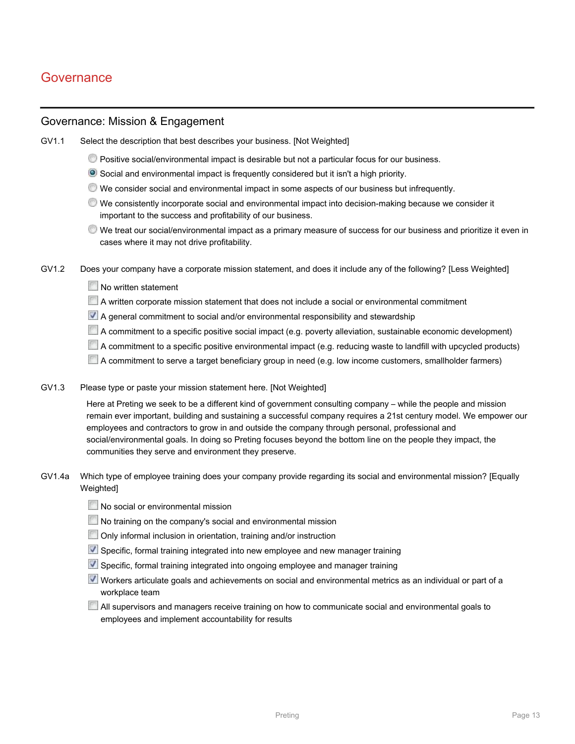# **Governance**

### Governance: Mission & Engagement

GV1.1 Select the description that best describes your business. [Not Weighted]

- Positive social/environmental impact is desirable but not a particular focus for our business.
- Social and environmental impact is frequently considered but it isn't a high priority.
- We consider social and environmental impact in some aspects of our business but infrequently.
- We consistently incorporate social and environmental impact into decision-making because we consider it important to the success and profitability of our business.
- We treat our social/environmental impact as a primary measure of success for our business and prioritize it even in cases where it may not drive profitability.
- GV1.2 Does your company have a corporate mission statement, and does it include any of the following? [Less Weighted]
	- No written statement
	- $\Box$  A written corporate mission statement that does not include a social or environmental commitment
	- A general commitment to social and/or environmental responsibility and stewardship
	- A commitment to a specific positive social impact (e.g. poverty alleviation, sustainable economic development)
	- A commitment to a specific positive environmental impact (e.g. reducing waste to landfill with upcycled products)
	- A commitment to serve a target beneficiary group in need (e.g. low income customers, smallholder farmers)
- GV1.3 Please type or paste your mission statement here. [Not Weighted]

Here at Preting we seek to be a different kind of government consulting company – while the people and mission remain ever important, building and sustaining a successful company requires a 21st century model. We empower our employees and contractors to grow in and outside the company through personal, professional and social/environmental goals. In doing so Preting focuses beyond the bottom line on the people they impact, the communities they serve and environment they preserve.

- GV1.4a Which type of employee training does your company provide regarding its social and environmental mission? [Equally **Weighted1** 
	- No social or environmental mission
	- No training on the company's social and environmental mission
	- Only informal inclusion in orientation, training and/or instruction
	- Specific, formal training integrated into new employee and new manager training
	- Specific, formal training integrated into ongoing employee and manager training
	- Workers articulate goals and achievements on social and environmental metrics as an individual or part of a workplace team
	- All supervisors and managers receive training on how to communicate social and environmental goals to employees and implement accountability for results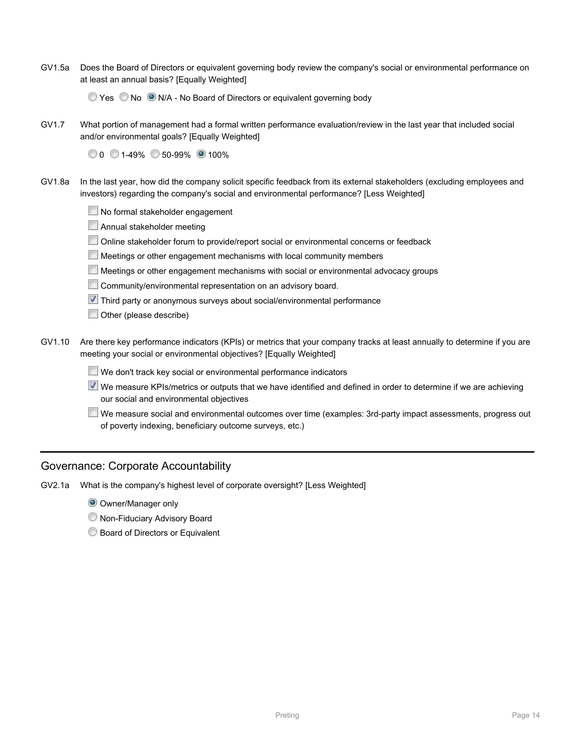GV1.5a Does the Board of Directors or equivalent governing body review the company's social or environmental performance on at least an annual basis? [Equally Weighted]

The Yes No O N/A - No Board of Directors or equivalent governing body

GV1.7 What portion of management had a formal written performance evaluation/review in the last year that included social and/or environmental goals? [Equally Weighted]

0 0 1-49% 50-99% 0 100%

- GV1.8a In the last year, how did the company solicit specific feedback from its external stakeholders (excluding employees and investors) regarding the company's social and environmental performance? [Less Weighted]
	- No formal stakeholder engagement
	- **Annual stakeholder meeting**
	- Online stakeholder forum to provide/report social or environmental concerns or feedback
	- **Meetings or other engagement mechanisms with local community members**
	- Meetings or other engagement mechanisms with social or environmental advocacy groups
	- Community/environmental representation on an advisory board.
	- **V** Third party or anonymous surveys about social/environmental performance
	- Other (please describe)
- GV1.10 Are there key performance indicators (KPIs) or metrics that your company tracks at least annually to determine if you are meeting your social or environmental objectives? [Equally Weighted]
	- We don't track key social or environmental performance indicators
	- We measure KPIs/metrics or outputs that we have identified and defined in order to determine if we are achieving our social and environmental objectives
	- We measure social and environmental outcomes over time (examples: 3rd-party impact assessments, progress out of poverty indexing, beneficiary outcome surveys, etc.)

### Governance: Corporate Accountability

- GV2.1a What is the company's highest level of corporate oversight? [Less Weighted]
	- **O** Owner/Manager only
	- Non-Fiduciary Advisory Board
	- **Board of Directors or Equivalent**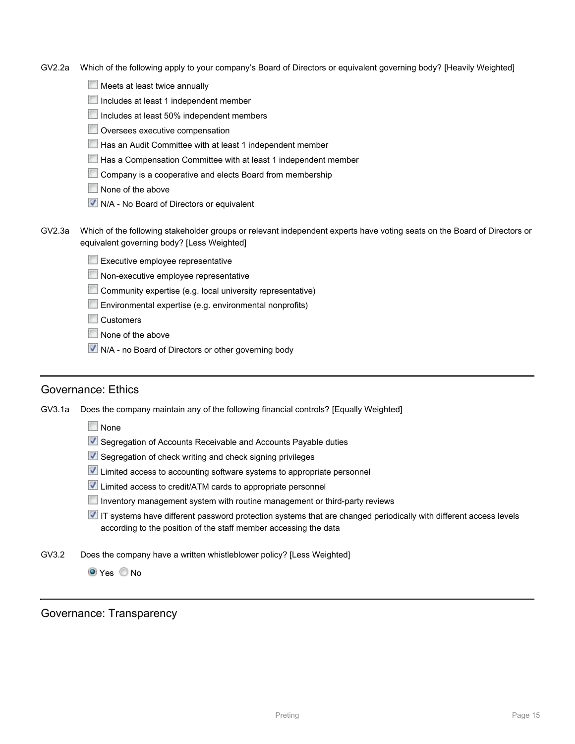- GV2.2a Which of the following apply to your company's Board of Directors or equivalent governing body? [Heavily Weighted]
	- Meets at least twice annually
	- Includes at least 1 independent member
	- Includes at least 50% independent members
	- **Oversees executive compensation**
	- Has an Audit Committee with at least 1 independent member
	- **Has a Compensation Committee with at least 1 independent member**
	- Company is a cooperative and elects Board from membership
	- None of the above
	- $\overline{V}$  N/A No Board of Directors or equivalent
- GV2.3a Which of the following stakeholder groups or relevant independent experts have voting seats on the Board of Directors or equivalent governing body? [Less Weighted]
	- Executive employee representative
	- **Non-executive employee representative**
	- Community expertise (e.g. local university representative)
	- Environmental expertise (e.g. environmental nonprofits)
	- **Customers**
	- None of the above
	- **V** N/A no Board of Directors or other governing body

### Governance: Ethics

GV3.1a Does the company maintain any of the following financial controls? [Equally Weighted]

- **None**
- Segregation of Accounts Receivable and Accounts Payable duties
- Segregation of check writing and check signing privileges
- **V** Limited access to accounting software systems to appropriate personnel
- Limited access to credit/ATM cards to appropriate personnel
- Inventory management system with routine management or third-party reviews
- IT systems have different password protection systems that are changed periodically with different access levels according to the position of the staff member accessing the data
- GV3.2 Does the company have a written whistleblower policy? [Less Weighted]

**O** Yes No

Governance: Transparency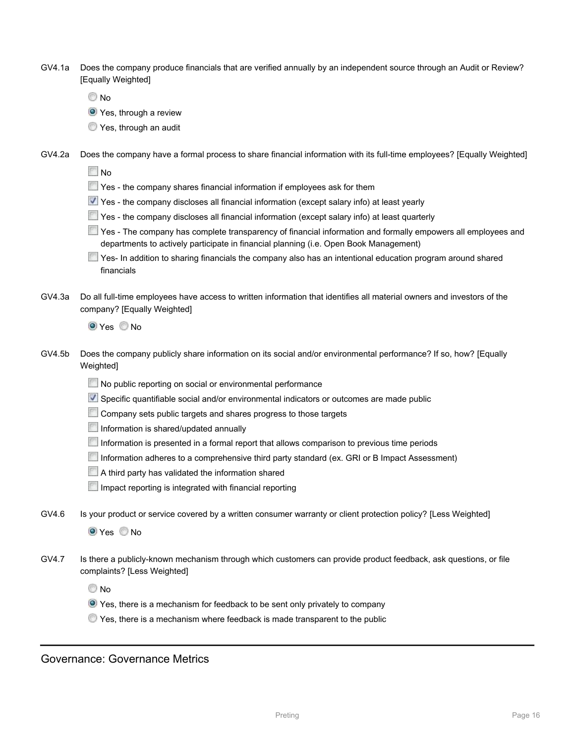| GV4.1a Does the company produce financials that are verified annually by an independent source through an Audit or Review? |
|----------------------------------------------------------------------------------------------------------------------------|
| [Equally Weighted]                                                                                                         |

© No

- **O** Yes, through a review
- **Yes, through an audit**
- GV4.2a Does the company have a formal process to share financial information with its full-time employees? [Equally Weighted]

**No** 

- **The Yes the company shares financial information if employees ask for them**
- Yes the company discloses all financial information (except salary info) at least yearly
- Yes the company discloses all financial information (except salary info) at least quarterly
- Yes The company has complete transparency of financial information and formally empowers all employees and departments to actively participate in financial planning (i.e. Open Book Management)
- Tes- In addition to sharing financials the company also has an intentional education program around shared financials
- GV4.3a Do all full-time employees have access to written information that identifies all material owners and investors of the company? [Equally Weighted]

**O** Yes No

- GV4.5b Does the company publicly share information on its social and/or environmental performance? If so, how? [Equally Weighted]
	- No public reporting on social or environmental performance
	- Specific quantifiable social and/or environmental indicators or outcomes are made public
	- Company sets public targets and shares progress to those targets
	- Information is shared/updated annually
	- Information is presented in a formal report that allows comparison to previous time periods
	- Information adheres to a comprehensive third party standard (ex. GRI or B Impact Assessment)
	- A third party has validated the information shared
	- Impact reporting is integrated with financial reporting
- GV4.6 Is your product or service covered by a written consumer warranty or client protection policy? [Less Weighted]

**O** Yes No

GV4.7 Is there a publicly-known mechanism through which customers can provide product feedback, ask questions, or file complaints? [Less Weighted]

**No** 

- Yes, there is a mechanism for feedback to be sent only privately to company
- Yes, there is a mechanism where feedback is made transparent to the public

Governance: Governance Metrics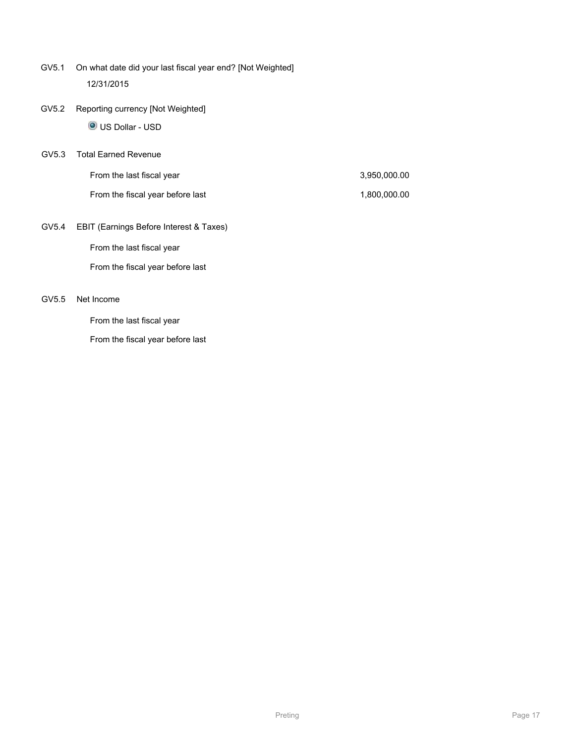- GV5.1 On what date did your last fiscal year end? [Not Weighted] 12/31/2015
- GV5.2 Reporting currency [Not Weighted]

US Dollar - USD

GV5.3 Total Earned Revenue

| From the last fiscal year        | 3,950,000.00 |
|----------------------------------|--------------|
| From the fiscal year before last | 1,800,000.00 |

GV5.4 EBIT (Earnings Before Interest & Taxes)

From the last fiscal year

From the fiscal year before last

#### GV5.5 Net Income

From the last fiscal year

From the fiscal year before last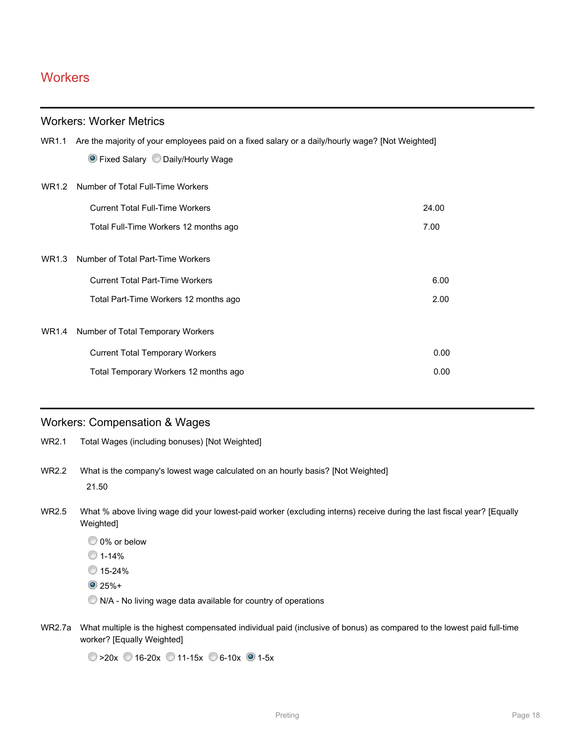# **Workers**

### Workers: Worker Metrics

|       | WR1.1 Are the majority of your employees paid on a fixed salary or a daily/hourly wage? [Not Weighted] |       |
|-------|--------------------------------------------------------------------------------------------------------|-------|
|       | • Fixed Salary • Daily/Hourly Wage                                                                     |       |
|       | WR1.2 Number of Total Full-Time Workers                                                                |       |
|       | <b>Current Total Full-Time Workers</b>                                                                 | 24.00 |
|       | Total Full-Time Workers 12 months ago                                                                  | 7.00  |
|       |                                                                                                        |       |
| WR1.3 | Number of Total Part-Time Workers                                                                      |       |
|       | <b>Current Total Part-Time Workers</b>                                                                 | 6.00  |
|       | Total Part-Time Workers 12 months ago                                                                  | 2.00  |
|       |                                                                                                        |       |
| WR1.4 | Number of Total Temporary Workers                                                                      |       |
|       | <b>Current Total Temporary Workers</b>                                                                 | 0.00  |
|       | Total Temporary Workers 12 months ago                                                                  | 0.00  |
|       |                                                                                                        |       |

### Workers: Compensation & Wages

- WR2.1 Total Wages (including bonuses) [Not Weighted]
- WR2.2 What is the company's lowest wage calculated on an hourly basis? [Not Weighted] 21.50
- WR2.5 What % above living wage did your lowest-paid worker (excluding interns) receive during the last fiscal year? [Equally Weighted]
	- 0% or below
	- $01 14%$
	- 15-24%
	- $25% +$
	- $\bullet$  N/A No living wage data available for country of operations
- WR2.7a What multiple is the highest compensated individual paid (inclusive of bonus) as compared to the lowest paid full-time worker? [Equally Weighted]

 $\circ$  >20x 16-20x 11-15x 6-10x 1-5x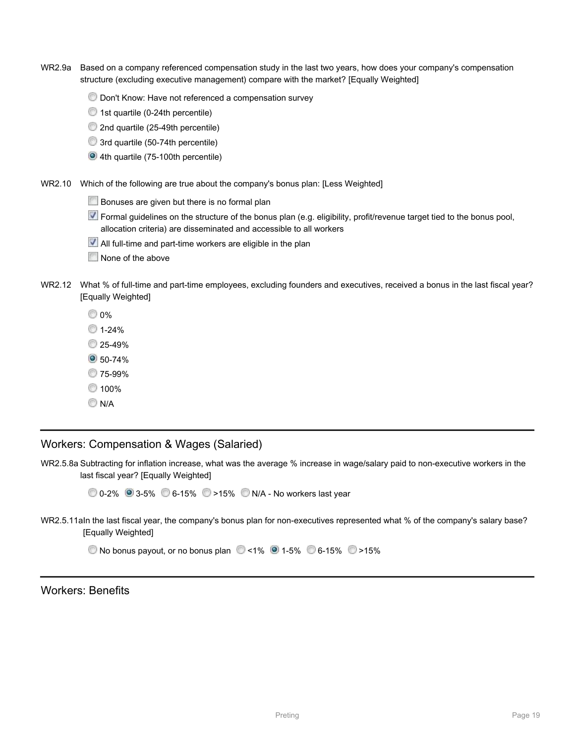- WR2.9a Based on a company referenced compensation study in the last two years, how does your company's compensation structure (excluding executive management) compare with the market? [Equally Weighted]
	- Don't Know: Have not referenced a compensation survey
	- 1st quartile (0-24th percentile)
	- 2nd quartile (25-49th percentile)
	- 3rd quartile (50-74th percentile)
	- 4th quartile (75-100th percentile)
- WR2.10 Which of the following are true about the company's bonus plan: [Less Weighted]
	- Bonuses are given but there is no formal plan
	- Formal guidelines on the structure of the bonus plan (e.g. eligibility, profit/revenue target tied to the bonus pool, allocation criteria) are disseminated and accessible to all workers
	- All full-time and part-time workers are eligible in the plan
	- None of the above
- WR2.12 What % of full-time and part-time employees, excluding founders and executives, received a bonus in the last fiscal year? [Equally Weighted]
	- 0%
	- $1 24%$
	- 25-49%
	- **30-74%**
	- 75-99%
	- <sup>100</sup>%
	- **N/A**

Workers: Compensation & Wages (Salaried)

WR2.5.8a Subtracting for inflation increase, what was the average % increase in wage/salary paid to non-executive workers in the last fiscal year? [Equally Weighted]

0-2% 3-5% 6-15% >15% N/A - No workers last year

WR2.5.11aIn the last fiscal year, the company's bonus plan for non-executives represented what % of the company's salary base? [Equally Weighted]

 $\circledcirc$  No bonus payout, or no bonus plan  $\circledcirc$  <1%  $\circledcirc$  1-5%  $\circledcirc$  6-15%  $\circledcirc$  >15%

Workers: Benefits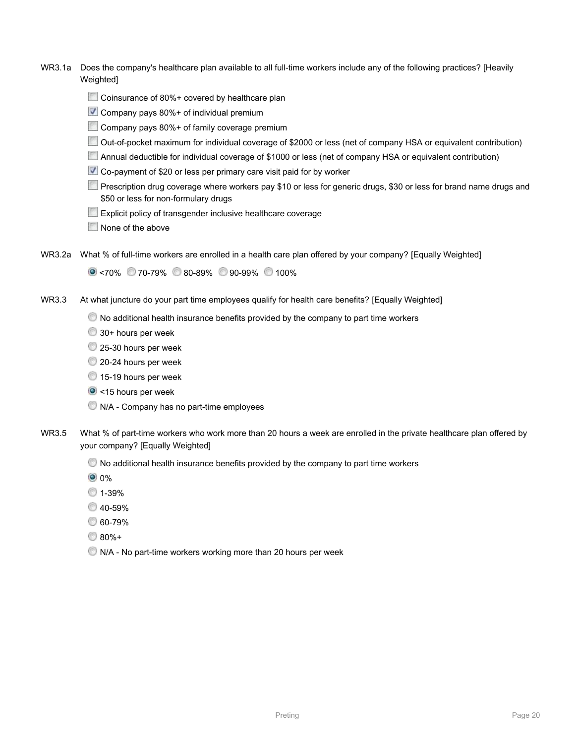- WR3.1a Does the company's healthcare plan available to all full-time workers include any of the following practices? [Heavily Weighted]
	- Coinsurance of 80%+ covered by healthcare plan
	- Company pays 80%+ of individual premium
	- Company pays 80%+ of family coverage premium
	- Out-of-pocket maximum for individual coverage of \$2000 or less (net of company HSA or equivalent contribution)
	- Annual deductible for individual coverage of \$1000 or less (net of company HSA or equivalent contribution)
	- Co-payment of \$20 or less per primary care visit paid for by worker
	- Prescription drug coverage where workers pay \$10 or less for generic drugs, \$30 or less for brand name drugs and \$50 or less for non-formulary drugs
	- **Explicit policy of transgender inclusive healthcare coverage**
	- None of the above
- WR3.2a What % of full-time workers are enrolled in a health care plan offered by your company? [Equally Weighted]

 $\circ$  <70% 70-79% 80-89% 90-99% 100%

- WR3.3 At what juncture do your part time employees qualify for health care benefits? [Equally Weighted]
	- $\bullet$  No additional health insurance benefits provided by the company to part time workers
	- 30+ hours per week
	- 25-30 hours per week
	- 20-24 hours per week
	- 15-19 hours per week
	- <15 hours per week
	- $\bullet$  N/A Company has no part-time employees
- WR3.5 What % of part-time workers who work more than 20 hours a week are enrolled in the private healthcare plan offered by your company? [Equally Weighted]
	- $\heartsuit$  No additional health insurance benefits provided by the company to part time workers
	- <sup>0</sup> 0%
	- 1-39%
	- 40-59%
	- 60-79%
	- 80%+
	- $\bullet$  N/A No part-time workers working more than 20 hours per week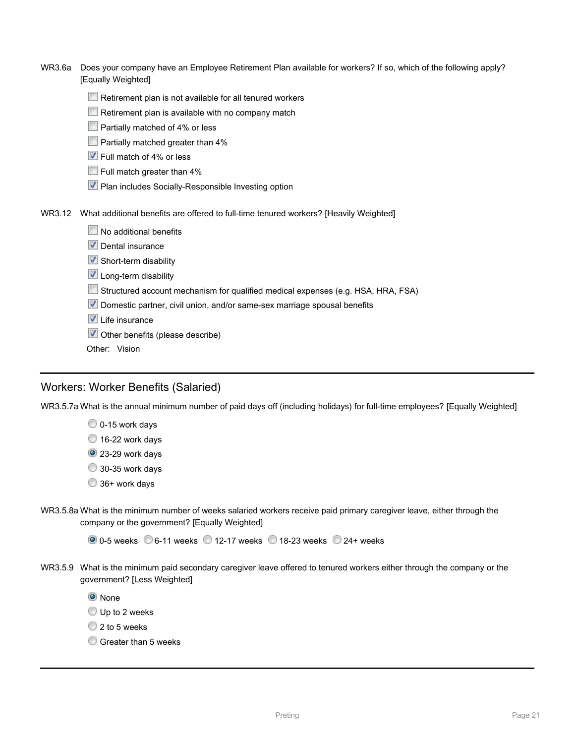| WR3.6a | Does your company have an Employee Retirement Plan available for workers? If so, which of the following apply?<br>[Equally Weighted] |
|--------|--------------------------------------------------------------------------------------------------------------------------------------|
|        | Retirement plan is not available for all tenured workers                                                                             |
|        | Retirement plan is available with no company match                                                                                   |
|        | Partially matched of 4% or less                                                                                                      |
|        | Partially matched greater than 4%                                                                                                    |
|        | Full match of 4% or less                                                                                                             |
|        | $\Box$ Full match greater than 4%                                                                                                    |
|        | Plan includes Socially-Responsible Investing option                                                                                  |
| WR3.12 | What additional benefits are offered to full-time tenured workers? [Heavily Weighted]                                                |
|        | No additional benefits                                                                                                               |
|        | Dental insurance                                                                                                                     |
|        | Short-term disability                                                                                                                |
|        | Long-term disability                                                                                                                 |
|        | Structured account mechanism for qualified medical expenses (e.g. HSA, HRA, FSA)                                                     |
|        | Domestic partner, civil union, and/or same-sex marriage spousal benefits                                                             |
|        | $\blacksquare$ Life insurance                                                                                                        |
|        | Other benefits (please describe)<br>V                                                                                                |
|        | Other: Vision                                                                                                                        |

### Workers: Worker Benefits (Salaried)

WR3.5.7a What is the annual minimum number of paid days off (including holidays) for full-time employees? [Equally Weighted]

0-15 work days

16-22 work days

<sup>2</sup> 23-29 work days

30-35 work days

- 36+ work days
- WR3.5.8a What is the minimum number of weeks salaried workers receive paid primary caregiver leave, either through the company or the government? [Equally Weighted]

 $\circ$  0-5 weeks  $\circ$  6-11 weeks  $\circ$  12-17 weeks  $\circ$  18-23 weeks  $\circ$  24+ weeks

WR3.5.9 What is the minimum paid secondary caregiver leave offered to tenured workers either through the company or the government? [Less Weighted]

**O** None

Up to 2 weeks

2 to 5 weeks

Greater than 5 weeks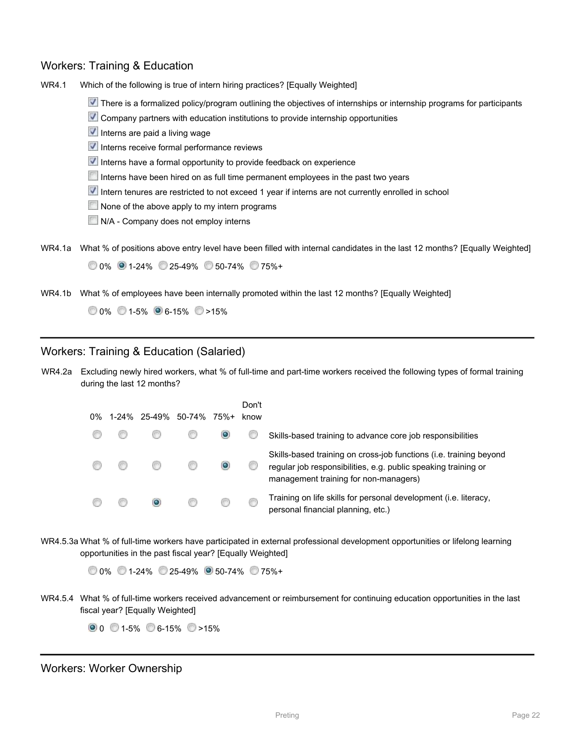### Workers: Training & Education

WR4.1 Which of the following is true of intern hiring practices? [Equally Weighted]

- There is a formalized policy/program outlining the objectives of internships or internship programs for participants
- **V** Company partners with education institutions to provide internship opportunities
- $\blacksquare$  Interns are paid a living wage
- $\blacktriangledown$  Interns receive formal performance reviews
- $\blacksquare$  Interns have a formal opportunity to provide feedback on experience
- Interns have been hired on as full time permanent employees in the past two years
- Intern tenures are restricted to not exceed 1 year if interns are not currently enrolled in school
- None of the above apply to my intern programs
- N/A Company does not employ interns
- WR4.1a What % of positions above entry level have been filled with internal candidates in the last 12 months? [Equally Weighted] 0% 1-24% 25-49% 50-74% 75%+
- WR4.1b What % of employees have been internally promoted within the last 12 months? [Equally Weighted]

 $0\%$  0 1-5% 6-15%  $\degree$  >15%

### Workers: Training & Education (Salaried)

WR4.2a Excluding newly hired workers, what % of full-time and part-time workers received the following types of formal training during the last 12 months?

| $0\%$ |  | 1-24% 25-49% 50-74% | 75%+ | Don't<br>know |                                                                                                                                                                               |
|-------|--|---------------------|------|---------------|-------------------------------------------------------------------------------------------------------------------------------------------------------------------------------|
|       |  |                     |      |               | Skills-based training to advance core job responsibilities                                                                                                                    |
|       |  |                     |      |               | Skills-based training on cross-job functions (i.e. training beyond<br>regular job responsibilities, e.g. public speaking training or<br>management training for non-managers) |
|       |  |                     |      |               | Training on life skills for personal development (i.e. literacy,<br>personal financial planning, etc.)                                                                        |

WR4.5.3a What % of full-time workers have participated in external professional development opportunities or lifelong learning opportunities in the past fiscal year? [Equally Weighted]

0% 1-24% 25-49% 50-74% 75%+

WR4.5.4 What % of full-time workers received advancement or reimbursement for continuing education opportunities in the last fiscal year? [Equally Weighted]

 $0.0$  0 1-5% 6-15% >15%

Workers: Worker Ownership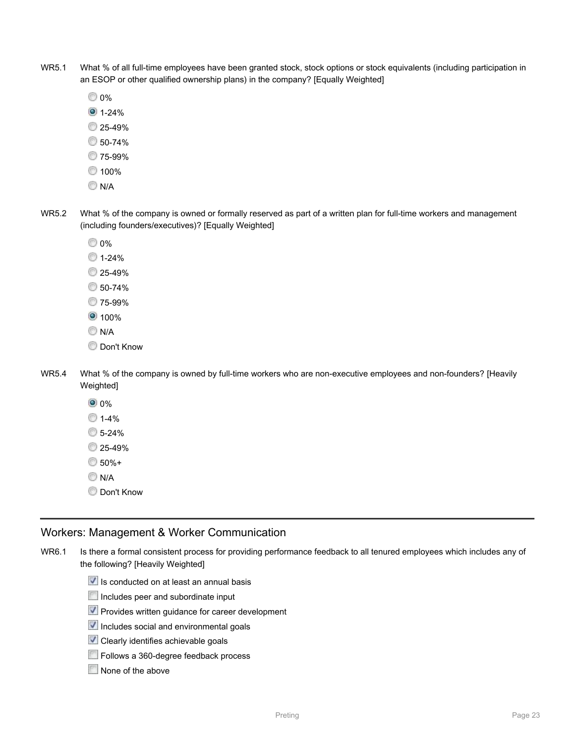- WR5.1 What % of all full-time employees have been granted stock, stock options or stock equivalents (including participation in an ESOP or other qualified ownership plans) in the company? [Equally Weighted]
	- **0%**
	- $01 24%$
	- 25-49%
	- 50-74%
	- 75-99%
	- ◯ 100%
	- **N/A**
- WR5.2 What % of the company is owned or formally reserved as part of a written plan for full-time workers and management (including founders/executives)? [Equally Weighted]
	- 0%
	- $1 24%$
	- 25-49%
	- 50-74%
	- 75-99%
	- <sup>0</sup> 100%
	- **N/A**
	- **Don't Know**
- WR5.4 What % of the company is owned by full-time workers who are non-executive employees and non-founders? [Heavily Weighted]
	- **0** 0%
	- $1 4%$
	- 5-24%
	- <sup>25-49</sup>%
	- $6.50% +$
	- **N/A**
	- Don't Know

### Workers: Management & Worker Communication

- WR6.1 Is there a formal consistent process for providing performance feedback to all tenured employees which includes any of the following? [Heavily Weighted]
	- $\blacktriangledown$  Is conducted on at least an annual basis
	- Includes peer and subordinate input
	- Provides written guidance for career development
	- $\vee$  Includes social and environmental goals
	- **V** Clearly identifies achievable goals
	- Follows a 360-degree feedback process
	- None of the above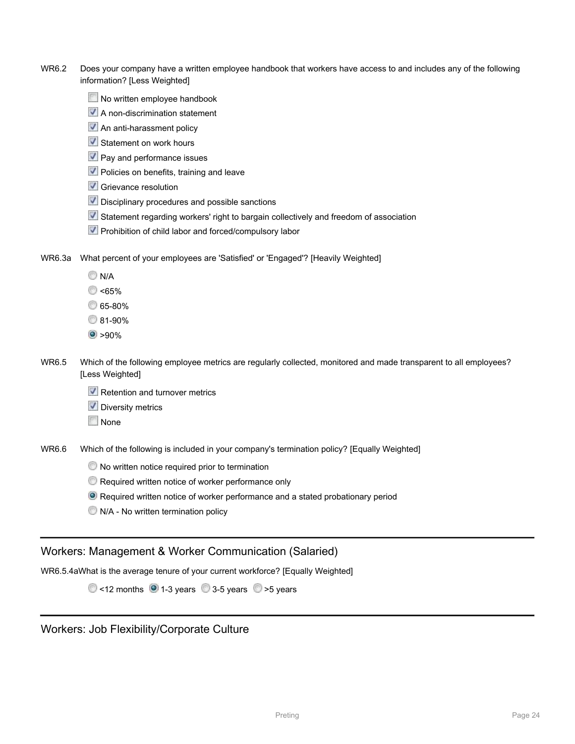- WR6.2 Does your company have a written employee handbook that workers have access to and includes any of the following information? [Less Weighted]
	- No written employee handbook
	- **A** non-discrimination statement
	- An anti-harassment policy
	- $\blacktriangledown$  Statement on work hours
	- **V** Pay and performance issues
	- $\vee$  Policies on benefits, training and leave
	- Grievance resolution
	- Disciplinary procedures and possible sanctions
	- Statement regarding workers' right to bargain collectively and freedom of association
	- **V** Prohibition of child labor and forced/compulsory labor
- WR6.3a What percent of your employees are 'Satisfied' or 'Engaged'? [Heavily Weighted]
	- $\bigcirc$  N/A
	- C <65%
	- 65-80%
	- 81-90%
	- $\bullet$  >90%
- WR6.5 Which of the following employee metrics are regularly collected, monitored and made transparent to all employees? [Less Weighted]
	- $\vee$  Retention and turnover metrics
	- **V** Diversity metrics
	- **None**

WR6.6 Which of the following is included in your company's termination policy? [Equally Weighted]

- $\bullet$  No written notice required prior to termination
- **Required written notice of worker performance only**
- Required written notice of worker performance and a stated probationary period
- $\bigcirc$  N/A No written termination policy

### Workers: Management & Worker Communication (Salaried)

WR6.5.4aWhat is the average tenure of your current workforce? [Equally Weighted]

 $\odot$  <12 months  $\odot$  1-3 years  $\odot$  3-5 years  $\odot$  >5 years

Workers: Job Flexibility/Corporate Culture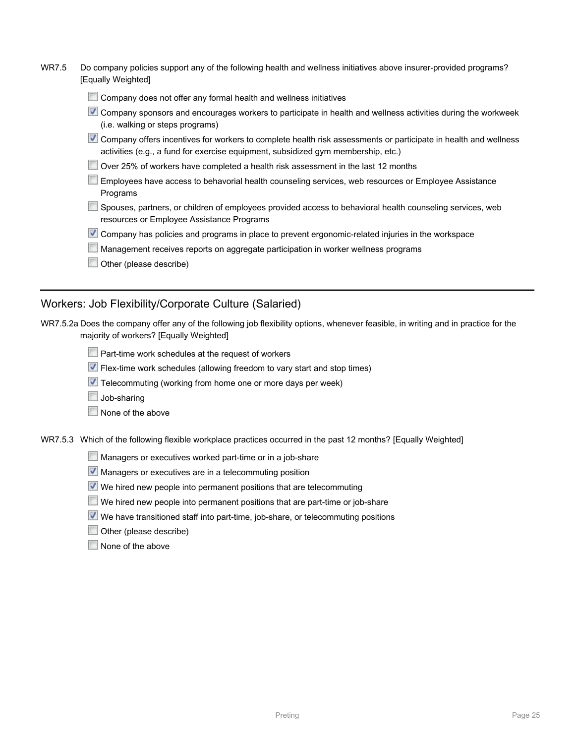| <u> ۲۱ سال</u> | Do company policies support any or the following health and wellness initiatives above insurer-provided programs?<br>[Equally Weighted]                                                              |
|----------------|------------------------------------------------------------------------------------------------------------------------------------------------------------------------------------------------------|
|                | Company does not offer any formal health and wellness initiatives                                                                                                                                    |
|                | Company sponsors and encourages workers to participate in health and wellness activities during the workweek<br>(i.e. walking or steps programs)                                                     |
|                | Company offers incentives for workers to complete health risk assessments or participate in health and wellness<br>activities (e.g., a fund for exercise equipment, subsidized gym membership, etc.) |
|                | Over 25% of workers have completed a health risk assessment in the last 12 months                                                                                                                    |
|                | Employees have access to behavorial health counseling services, web resources or Employee Assistance<br>Programs                                                                                     |
|                | Spouses, partners, or children of employees provided access to behavioral health counseling services, web<br>resources or Employee Assistance Programs                                               |
|                | Company has policies and programs in place to prevent ergonomic-related injuries in the workspace                                                                                                    |

**Management receives reports on aggregate participation in worker wellness programs** 

WR7.5 Do company policies support any of the following health and wellness initiatives above insurer-provided programs?

**Other (please describe)** 

### Workers: Job Flexibility/Corporate Culture (Salaried)

| WR7.5.2a Does the company offer any of the following job flexibility options, whenever feasible, in writing and in practice for the |  |  |
|-------------------------------------------------------------------------------------------------------------------------------------|--|--|
| majority of workers? [Equally Weighted]                                                                                             |  |  |

|  |  |  | $\triangle$ Part-time work schedules at the request of workers |
|--|--|--|----------------------------------------------------------------|
|  |  |  |                                                                |

- Flex-time work schedules (allowing freedom to vary start and stop times)
- Telecommuting (working from home one or more days per week)
- Job-sharing
- None of the above

WR7.5.3 Which of the following flexible workplace practices occurred in the past 12 months? [Equally Weighted]

- Managers or executives worked part-time or in a job-share
- **Managers or executives are in a telecommuting position**
- We hired new people into permanent positions that are telecommuting
- We hired new people into permanent positions that are part-time or job-share
- We have transitioned staff into part-time, job-share, or telecommuting positions
- Other (please describe)
- None of the above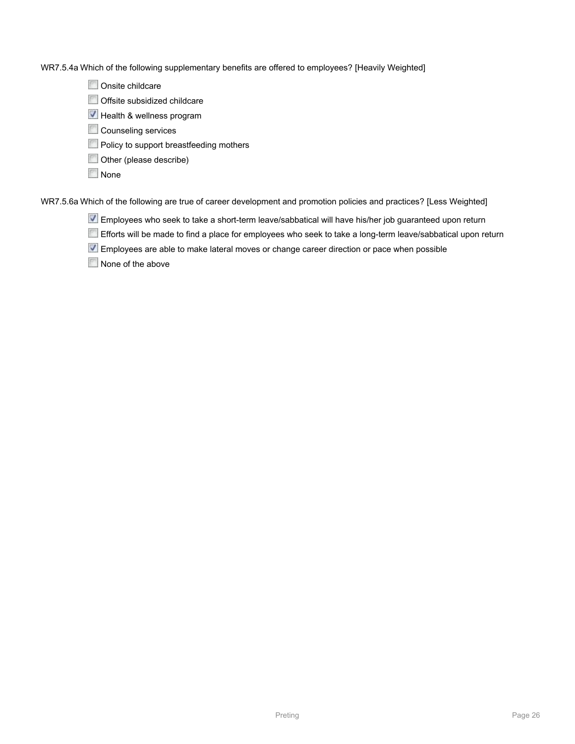WR7.5.4a Which of the following supplementary benefits are offered to employees? [Heavily Weighted]

Onsite childcare

Offsite subsidized childcare

 $\blacktriangledown$  Health & wellness program

Counseling services

**Policy to support breastfeeding mothers** 

Other (please describe)

**None** 

WR7.5.6a Which of the following are true of career development and promotion policies and practices? [Less Weighted]

Employees who seek to take a short-term leave/sabbatical will have his/her job guaranteed upon return

Efforts will be made to find a place for employees who seek to take a long-term leave/sabbatical upon return

Employees are able to make lateral moves or change career direction or pace when possible

None of the above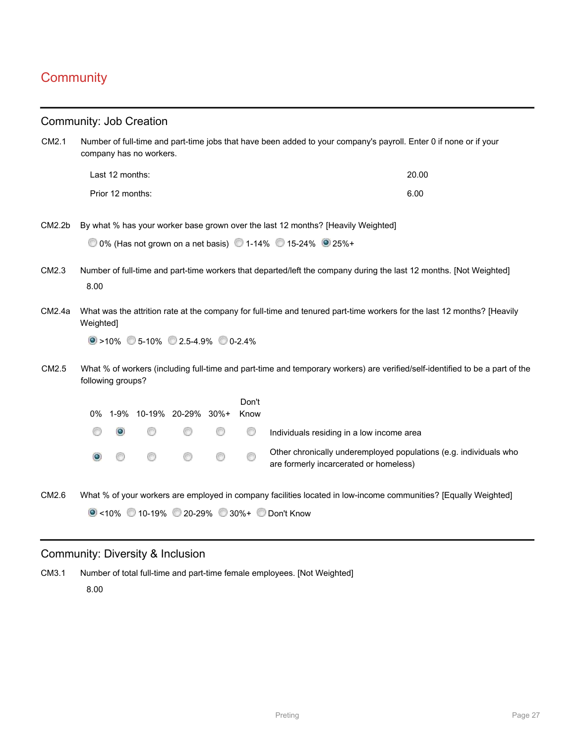# **Community**

|                    |                                                                                                                                                                            |                   | <b>Community: Job Creation</b> |   |   |               |                                                                                                                              |
|--------------------|----------------------------------------------------------------------------------------------------------------------------------------------------------------------------|-------------------|--------------------------------|---|---|---------------|------------------------------------------------------------------------------------------------------------------------------|
| CM2.1              | Number of full-time and part-time jobs that have been added to your company's payroll. Enter 0 if none or if your<br>company has no workers.                               |                   |                                |   |   |               |                                                                                                                              |
|                    |                                                                                                                                                                            | Last 12 months:   |                                |   |   |               | 20.00                                                                                                                        |
|                    | Prior 12 months:<br>6.00                                                                                                                                                   |                   |                                |   |   |               |                                                                                                                              |
| CM2.2 <sub>b</sub> |                                                                                                                                                                            |                   |                                |   |   |               | By what % has your worker base grown over the last 12 months? [Heavily Weighted]                                             |
|                    |                                                                                                                                                                            |                   |                                |   |   |               | 0 0% (Has not grown on a net basis) 0 1-14% 0 15-24% 0 25%+                                                                  |
| CM2.3              | Number of full-time and part-time workers that departed/left the company during the last 12 months. [Not Weighted]<br>8.00                                                 |                   |                                |   |   |               |                                                                                                                              |
| CM2.4a             | What was the attrition rate at the company for full-time and tenured part-time workers for the last 12 months? [Heavily<br>Weighted]<br>$\circ$ >10% 5-10% 2.5-4.9% 0-2.4% |                   |                                |   |   |               |                                                                                                                              |
| CM2.5              |                                                                                                                                                                            | following groups? |                                |   |   |               | What % of workers (including full-time and part-time and temporary workers) are verified/self-identified to be a part of the |
|                    |                                                                                                                                                                            |                   | 0% 1-9% 10-19% 20-29% 30%+     |   |   | Don't<br>Know |                                                                                                                              |
|                    |                                                                                                                                                                            | $\bullet$         | ⊙                              |   | ⊙ | ◎             | Individuals residing in a low income area                                                                                    |
|                    | $\odot$                                                                                                                                                                    |                   | ⊛                              | ⊙ | 0 | ⊚             | Other chronically underemployed populations (e.g. individuals who<br>are formerly incarcerated or homeless)                  |
| CM2.6              |                                                                                                                                                                            |                   |                                |   |   |               | What % of your workers are employed in company facilities located in low-income communities? [Equally Weighted]              |
|                    |                                                                                                                                                                            |                   |                                |   |   |               | ● <10% 210-19% 20-29% 30%+ Don't Know                                                                                        |

### Community: Diversity & Inclusion

CM3.1 Number of total full-time and part-time female employees. [Not Weighted] 8.00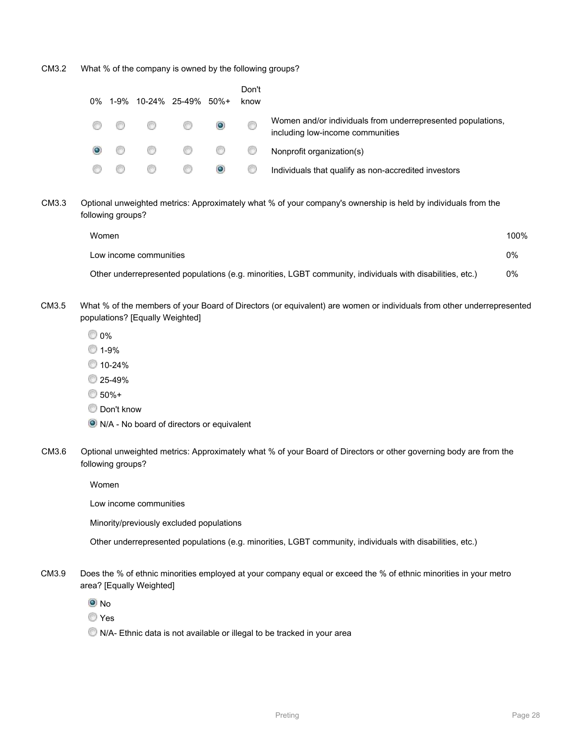CM3.2 What % of the company is owned by the following groups?

| 0% |      |   | 1-9% 10-24% 25-49% 50%+ |           | Don't<br>know |                                                                                                 |
|----|------|---|-------------------------|-----------|---------------|-------------------------------------------------------------------------------------------------|
|    | - 67 | ⊙ | œ                       | $\bullet$ | 6             | Women and/or individuals from underrepresented populations,<br>including low-income communities |
|    |      |   | 0 0 0                   |           | ⊙             | Nonprofit organization(s)                                                                       |
|    |      | œ |                         | $\bullet$ |               | Individuals that qualify as non-accredited investors                                            |

CM3.3 Optional unweighted metrics: Approximately what % of your company's ownership is held by individuals from the following groups?

| Women                                                                                                     | 100% |
|-----------------------------------------------------------------------------------------------------------|------|
| Low income communities                                                                                    | 0%   |
| Other underrepresented populations (e.g. minorities, LGBT community, individuals with disabilities, etc.) | 0%   |

- CM3.5 What % of the members of your Board of Directors (or equivalent) are women or individuals from other underrepresented populations? [Equally Weighted]
	- 0%
	- 0 1-9%
	- 10-24%
	- 25-49%
	- 50%+
	- **Don't know**
	- N/A No board of directors or equivalent
- CM3.6 Optional unweighted metrics: Approximately what % of your Board of Directors or other governing body are from the following groups?

Women

Low income communities

Minority/previously excluded populations

Other underrepresented populations (e.g. minorities, LGBT community, individuals with disabilities, etc.)

- CM3.9 Does the % of ethnic minorities employed at your company equal or exceed the % of ethnic minorities in your metro area? [Equally Weighted]
	- $\odot$  No
	- Yes
	- $\bullet$  N/A- Ethnic data is not available or illegal to be tracked in your area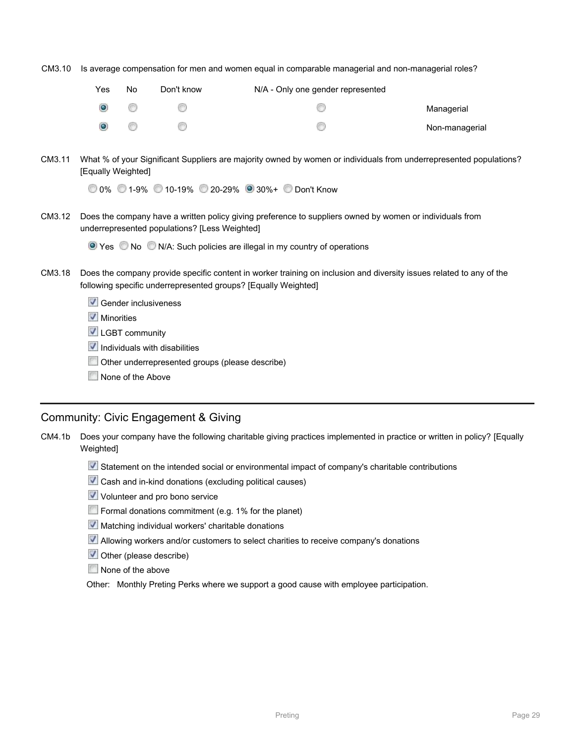CM3.10 Is average compensation for men and women equal in comparable managerial and non-managerial roles?

| Yes       | No | Don't know | N/A - Only one gender represented |                |
|-----------|----|------------|-----------------------------------|----------------|
| $\bullet$ | 67 | <b>CEO</b> |                                   | Managerial     |
| $\circ$   | 67 | œ          |                                   | Non-managerial |

CM3.11 What % of your Significant Suppliers are majority owned by women or individuals from underrepresented populations? [Equally Weighted]

0% 1-9% 10-19% 20-29% 30%+ Don't Know

CM3.12 Does the company have a written policy giving preference to suppliers owned by women or individuals from underrepresented populations? [Less Weighted]

**O** Yes No N/A: Such policies are illegal in my country of operations

- CM3.18 Does the company provide specific content in worker training on inclusion and diversity issues related to any of the following specific underrepresented groups? [Equally Weighted]
	- Gender inclusiveness
	- **V** Minorities
	- **V** LGBT community
	- $\blacksquare$  Individuals with disabilities
	- Other underrepresented groups (please describe)
	- None of the Above

#### Community: Civic Engagement & Giving

CM4.1b Does your company have the following charitable giving practices implemented in practice or written in policy? [Equally Weighted]

- Statement on the intended social or environmental impact of company's charitable contributions
- $\vee$  Cash and in-kind donations (excluding political causes)
- V Volunteer and pro bono service
- Formal donations commitment (e.g. 1% for the planet)
- $\blacktriangledown$  Matching individual workers' charitable donations
- Allowing workers and/or customers to select charities to receive company's donations
- **V** Other (please describe)
- None of the above

Other: Monthly Preting Perks where we support a good cause with employee participation.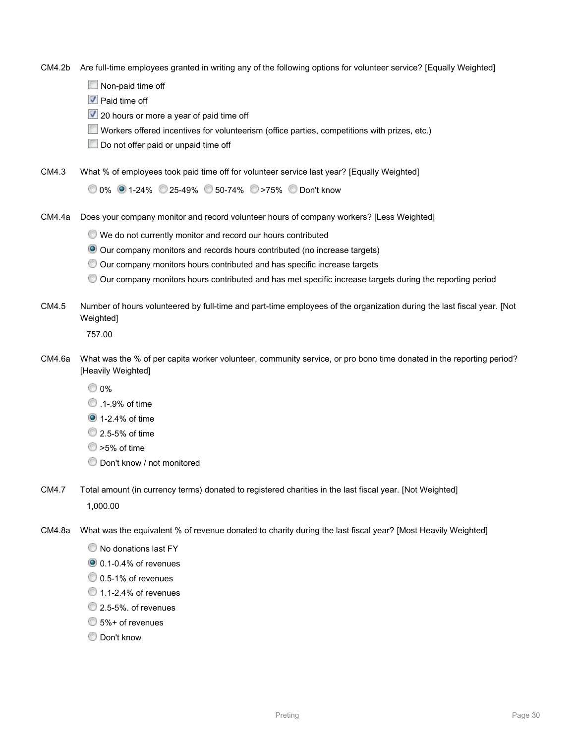CM4.2b Are full-time employees granted in writing any of the following options for volunteer service? [Equally Weighted]

Non-paid time off

**V** Paid time off

20 hours or more a year of paid time off

Workers offered incentives for volunteerism (office parties, competitions with prizes, etc.)

Do not offer paid or unpaid time off

CM4.3 What % of employees took paid time off for volunteer service last year? [Equally Weighted]

0% 1-24% 25-49% 50-74% >75% Don't know

CM4.4a Does your company monitor and record volunteer hours of company workers? [Less Weighted]

We do not currently monitor and record our hours contributed

Our company monitors and records hours contributed (no increase targets)

Our company monitors hours contributed and has specific increase targets

Our company monitors hours contributed and has met specific increase targets during the reporting period

CM4.5 Number of hours volunteered by full-time and part-time employees of the organization during the last fiscal year. [Not Weighted]

757.00

- CM4.6a What was the % of per capita worker volunteer, community service, or pro bono time donated in the reporting period? [Heavily Weighted]
	- 0%
	- **1** 9% of time
	- **1**-2.4% of time
	- **2.5-5% of time**
	- 25% of time
	- Don't know / not monitored
- CM4.7 Total amount (in currency terms) donated to registered charities in the last fiscal year. [Not Weighted] 1,000.00
- CM4.8a What was the equivalent % of revenue donated to charity during the last fiscal year? [Most Heavily Weighted]
	- $\bullet$  No donations last FY
	- 0.1-0.4% of revenues
	- 0.5-1% of revenues
	- <sup>1</sup>.1-2.4% of revenues
	- <sup>2</sup> 2.5-5%, of revenues
	- 5%+ of revenues
	- **Don't know**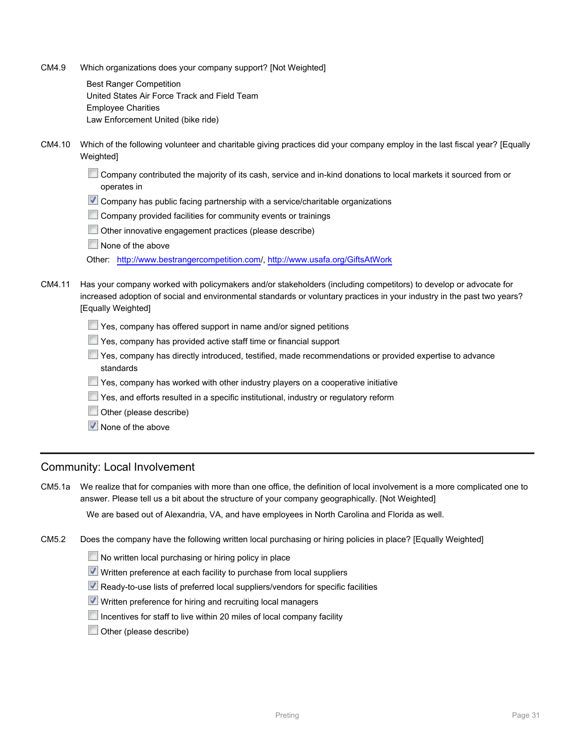CM4.9 Which organizations does your company support? [Not Weighted]

Best Ranger Competition United States Air Force Track and Field Team Employee Charities Law Enforcement United (bike ride)

CM4.10 Which of the following volunteer and charitable giving practices did your company employ in the last fiscal year? [Equally Weighted]

Company contributed the majority of its cash, service and in-kind donations to local markets it sourced from or operates in

- **V** Company has public facing partnership with a service/charitable organizations
- Company provided facilities for community events or trainings
- Other innovative engagement practices (please describe)
- None of the above

Other: [http://www.bestrangercompetition.com/](http://www.bestrangercompetition.com),<http://www.usafa.org/GiftsAtWork>

CM4.11 Has your company worked with policymakers and/or stakeholders (including competitors) to develop or advocate for increased adoption of social and environmental standards or voluntary practices in your industry in the past two years? [Equally Weighted]

- Yes, company has offered support in name and/or signed petitions
- Yes, company has provided active staff time or financial support
- Yes, company has directly introduced, testified, made recommendations or provided expertise to advance standards
- Yes, company has worked with other industry players on a cooperative initiative
- Yes, and efforts resulted in a specific institutional, industry or regulatory reform
- Other (please describe)
- $\sqrt{\phantom{a}}$  None of the above

### Community: Local Involvement

CM5.1a We realize that for companies with more than one office, the definition of local involvement is a more complicated one to answer. Please tell us a bit about the structure of your company geographically. [Not Weighted]

We are based out of Alexandria, VA, and have employees in North Carolina and Florida as well.

CM5.2 Does the company have the following written local purchasing or hiring policies in place? [Equally Weighted]

- No written local purchasing or hiring policy in place
- Written preference at each facility to purchase from local suppliers
- Ready-to-use lists of preferred local suppliers/vendors for specific facilities
- Written preference for hiring and recruiting local managers
- Incentives for staff to live within 20 miles of local company facility
- Other (please describe)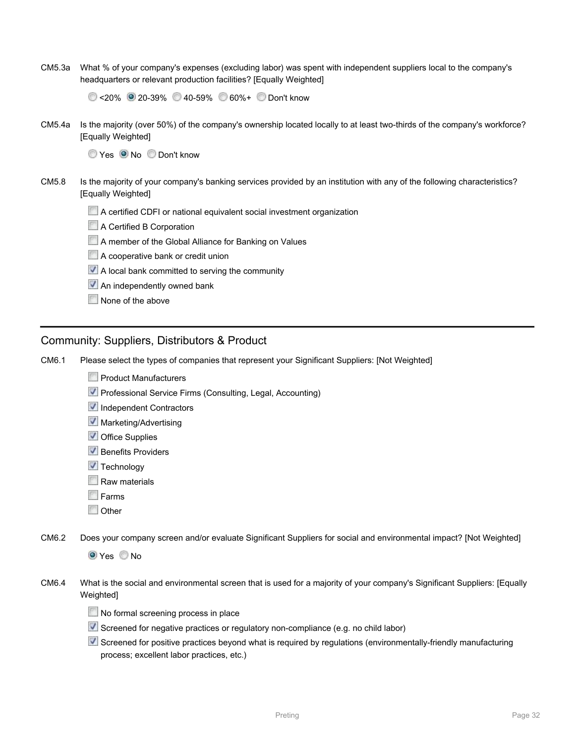CM5.3a What % of your company's expenses (excluding labor) was spent with independent suppliers local to the company's headquarters or relevant production facilities? [Equally Weighted]

<20% 20-39% 40-59% 60%+ Don't know

CM5.4a Is the majority (over 50%) of the company's ownership located locally to at least two-thirds of the company's workforce? [Equally Weighted]

Yes O No Don't know

- CM5.8 Is the majority of your company's banking services provided by an institution with any of the following characteristics? [Equally Weighted]
	- A certified CDFI or national equivalent social investment organization
	- A Certified B Corporation
	- A member of the Global Alliance for Banking on Values
	- A cooperative bank or credit union
	- $\vee$  A local bank committed to serving the community
	- **An independently owned bank**
	- None of the above

### Community: Suppliers, Distributors & Product

CM6.1 Please select the types of companies that represent your Significant Suppliers: [Not Weighted]

- **Product Manufacturers**
- **V** Professional Service Firms (Consulting, Legal, Accounting)
- Independent Contractors
- **V** Marketing/Advertising
- **V** Office Supplies
- **Benefits Providers**
- $\sqrt{\phantom{a}}$  Technology
- Raw materials
- $F<sub>arms</sub>$
- **Other**

CM6.2 Does your company screen and/or evaluate Significant Suppliers for social and environmental impact? [Not Weighted]

**O** Yes No

- CM6.4 What is the social and environmental screen that is used for a majority of your company's Significant Suppliers: [Equally Weighted]
	- No formal screening process in place
	- Screened for negative practices or regulatory non-compliance (e.g. no child labor)
	- Screened for positive practices beyond what is required by regulations (environmentally-friendly manufacturing process; excellent labor practices, etc.)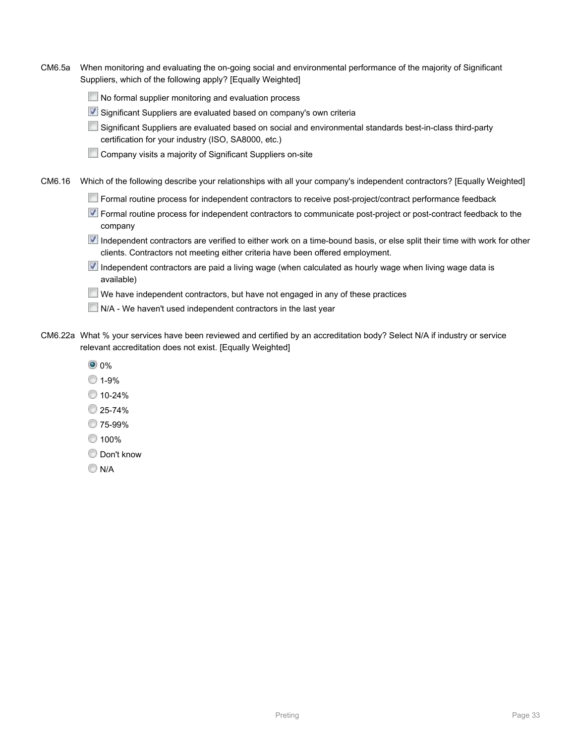- CM6.5a When monitoring and evaluating the on-going social and environmental performance of the majority of Significant Suppliers, which of the following apply? [Equally Weighted]
	- No formal supplier monitoring and evaluation process
	- Significant Suppliers are evaluated based on company's own criteria
	- Significant Suppliers are evaluated based on social and environmental standards best-in-class third-party certification for your industry (ISO, SA8000, etc.)
	- **Company visits a majority of Significant Suppliers on-site**
- CM6.16 Which of the following describe your relationships with all your company's independent contractors? [Equally Weighted]
	- Formal routine process for independent contractors to receive post-project/contract performance feedback
	- Formal routine process for independent contractors to communicate post-project or post-contract feedback to the company
	- Independent contractors are verified to either work on a time-bound basis, or else split their time with work for other clients. Contractors not meeting either criteria have been offered employment.
	- Independent contractors are paid a living wage (when calculated as hourly wage when living wage data is available)
	- $\Box$  We have independent contractors, but have not engaged in any of these practices
	- N/A We haven't used independent contractors in the last year
- CM6.22a What % your services have been reviewed and certified by an accreditation body? Select N/A if industry or service relevant accreditation does not exist. [Equally Weighted]
	- <sup>0</sup> 0%
	- 0 1-9%
	- $0.10 24%$
	- 25-74%
	- 75-99%
	- ◎ 100%
	- **Don't know**
	- **N/A**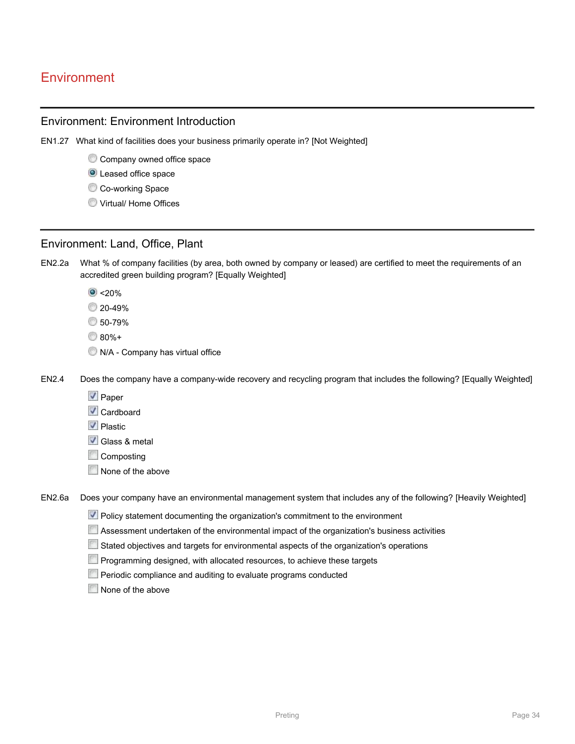# **Environment**

### Environment: Environment Introduction

- EN1.27 What kind of facilities does your business primarily operate in? [Not Weighted]
	- Company owned office space
	- **O** Leased office space
	- Co-working Space
	- **Wirtual/ Home Offices**

### Environment: Land, Office, Plant

- EN2.2a What % of company facilities (by area, both owned by company or leased) are certified to meet the requirements of an accredited green building program? [Equally Weighted]
	- $\bullet$  <20%
	- 20-49%
	- 50-79%
	- 80%+
	- $\bullet$  N/A Company has virtual office

EN2.4 Does the company have a company-wide recovery and recycling program that includes the following? [Equally Weighted]

- $\sqrt{ }$  Paper
- **√** Cardboard
- **V** Plastic
- **V** Glass & metal
- **Composting**
- None of the above

EN2.6a Does your company have an environmental management system that includes any of the following? [Heavily Weighted]

- **V** Policy statement documenting the organization's commitment to the environment
- Assessment undertaken of the environmental impact of the organization's business activities
- Stated objectives and targets for environmental aspects of the organization's operations
- **Programming designed, with allocated resources, to achieve these targets**
- **Periodic compliance and auditing to evaluate programs conducted**
- None of the above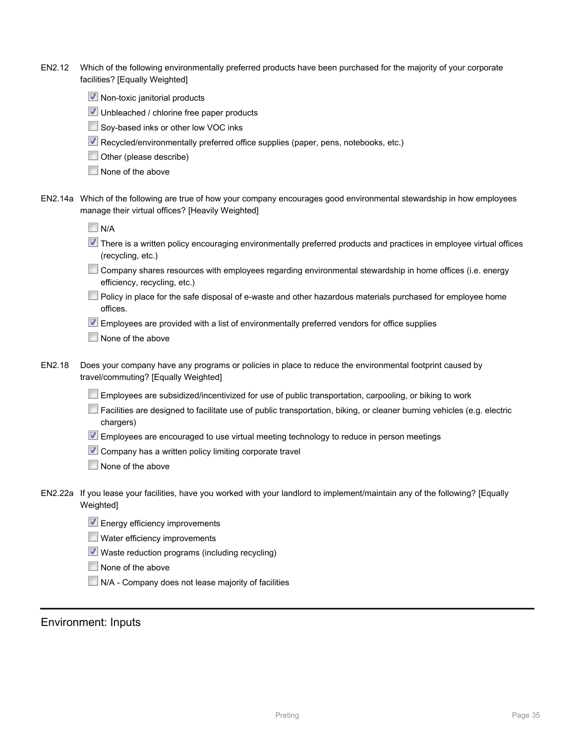| EN2.12 | Which of the following environmentally preferred products have been purchased for the majority of your corporate |
|--------|------------------------------------------------------------------------------------------------------------------|
|        | facilities? [Equally Weighted]                                                                                   |

- $\vee$  Non-toxic janitorial products
- Unbleached / chlorine free paper products
- Soy-based inks or other low VOC inks
- Recycled/environmentally preferred office supplies (paper, pens, notebooks, etc.)
- **Other** (please describe)
- None of the above
- EN2.14a Which of the following are true of how your company encourages good environmental stewardship in how employees manage their virtual offices? [Heavily Weighted]

- There is a written policy encouraging environmentally preferred products and practices in employee virtual offices (recycling, etc.)
- Company shares resources with employees regarding environmental stewardship in home offices (i.e. energy efficiency, recycling, etc.)
- Policy in place for the safe disposal of e-waste and other hazardous materials purchased for employee home offices.
- Employees are provided with a list of environmentally preferred vendors for office supplies
- None of the above
- EN2.18 Does your company have any programs or policies in place to reduce the environmental footprint caused by travel/commuting? [Equally Weighted]
	- Employees are subsidized/incentivized for use of public transportation, carpooling, or biking to work
	- Facilities are designed to facilitate use of public transportation, biking, or cleaner burning vehicles (e.g. electric chargers)
	- Employees are encouraged to use virtual meeting technology to reduce in person meetings
	- $\vee$  Company has a written policy limiting corporate travel
	- None of the above
- EN2.22a If you lease your facilities, have you worked with your landlord to implement/maintain any of the following? [Equally Weighted]
	- **Energy efficiency improvements**
	- Water efficiency improvements
	- Waste reduction programs (including recycling)
	- None of the above
	- N/A Company does not lease majority of facilities

### Environment: Inputs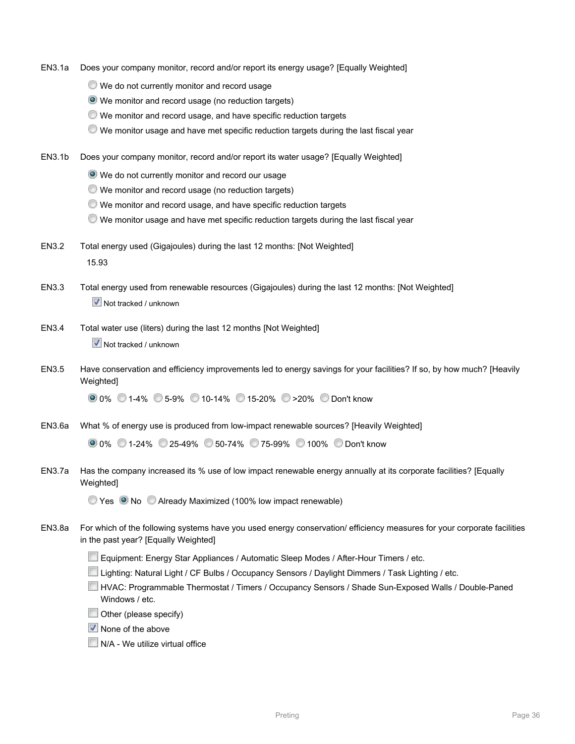- EN3.1a Does your company monitor, record and/or report its energy usage? [Equally Weighted]
	- We do not currently monitor and record usage
	- We monitor and record usage (no reduction targets)
	- We monitor and record usage, and have specific reduction targets
	- We monitor usage and have met specific reduction targets during the last fiscal year
- EN3.1b Does your company monitor, record and/or report its water usage? [Equally Weighted]
	- We do not currently monitor and record our usage
	- We monitor and record usage (no reduction targets)
	- We monitor and record usage, and have specific reduction targets
	- We monitor usage and have met specific reduction targets during the last fiscal year
- EN3.2 Total energy used (Gigajoules) during the last 12 months: [Not Weighted] 15.93
- EN3.3 Total energy used from renewable resources (Gigajoules) during the last 12 months: [Not Weighted]  $\overline{\mathbf{V}}$  Not tracked / unknown
- EN3.4 Total water use (liters) during the last 12 months [Not Weighted]  $\overline{\mathbf{V}}$  Not tracked / unknown
- EN3.5 Have conservation and efficiency improvements led to energy savings for your facilities? If so, by how much? [Heavily Weighted]

0% 1-4% 5-9% 10-14% 15-20% >20% Don't know

EN3.6a What % of energy use is produced from low-impact renewable sources? [Heavily Weighted]

| ● 0% ● 1-24% ● 25-49% ● 50-74% ● 75-99% ● 100% ● Don't know |
|-------------------------------------------------------------|
|-------------------------------------------------------------|

EN3.7a Has the company increased its % use of low impact renewable energy annually at its corporate facilities? [Equally Weighted]

**Yes ONo Already Maximized (100% low impact renewable)** 

- EN3.8a For which of the following systems have you used energy conservation/ efficiency measures for your corporate facilities in the past year? [Equally Weighted]
	- E Equipment: Energy Star Appliances / Automatic Sleep Modes / After-Hour Timers / etc.
	- Lighting: Natural Light / CF Bulbs / Occupancy Sensors / Daylight Dimmers / Task Lighting / etc.
	- HVAC: Programmable Thermostat / Timers / Occupancy Sensors / Shade Sun-Exposed Walls / Double-Paned Windows / etc.
	- $\Box$  Other (please specify)
	- $\sqrt{\phantom{a}}$  None of the above
	- **N/A We utilize virtual office**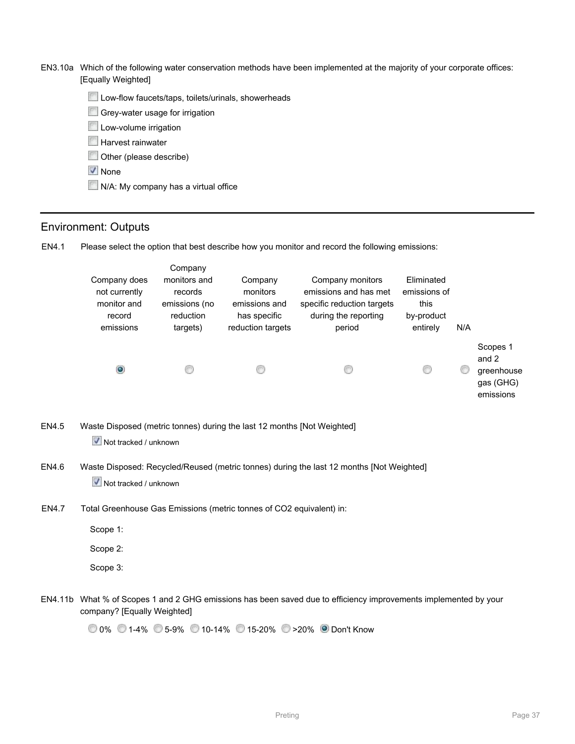- EN3.10a Which of the following water conservation methods have been implemented at the majority of your corporate offices: [Equally Weighted]
	- **Low-flow faucets/taps, toilets/urinals, showerheads**
	- Grey-water usage for irrigation
	- **Low-volume irrigation**
	- **Harvest rainwater**
	- Other (please describe)
	- ↓ None
	- N/A: My company has a virtual office

#### Environment: Outputs

EN4.1 Please select the option that best describe how you monitor and record the following emissions:

| Company does<br>not currently<br>monitor and<br>record<br>emissions | Company<br>monitors and<br>records<br>emissions (no<br>reduction<br>targets) | Company<br>monitors<br>emissions and<br>has specific<br>reduction targets | Company monitors<br>emissions and has met<br>specific reduction targets<br>during the reporting<br>period | Eliminated<br>emissions of<br>this<br>by-product<br>entirely | N/A |                                                           |
|---------------------------------------------------------------------|------------------------------------------------------------------------------|---------------------------------------------------------------------------|-----------------------------------------------------------------------------------------------------------|--------------------------------------------------------------|-----|-----------------------------------------------------------|
| $\bullet$                                                           |                                                                              | œ                                                                         | G                                                                                                         | 6                                                            | G   | Scopes 1<br>and 2<br>greenhouse<br>gas (GHG)<br>emissions |

- EN4.5 Waste Disposed (metric tonnes) during the last 12 months [Not Weighted] **V** Not tracked / unknown
- EN4.6 Waste Disposed: Recycled/Reused (metric tonnes) during the last 12 months [Not Weighted]  $\overline{\mathbf{V}}$  Not tracked / unknown
- EN4.7 Total Greenhouse Gas Emissions (metric tonnes of CO2 equivalent) in:
	- Scope 1:
	- Scope 2:
	- Scope 3:
- EN4.11b What % of Scopes 1 and 2 GHG emissions has been saved due to efficiency improvements implemented by your company? [Equally Weighted]

0% 1-4% 5-9% 10-14% 15-20% >20% Don't Know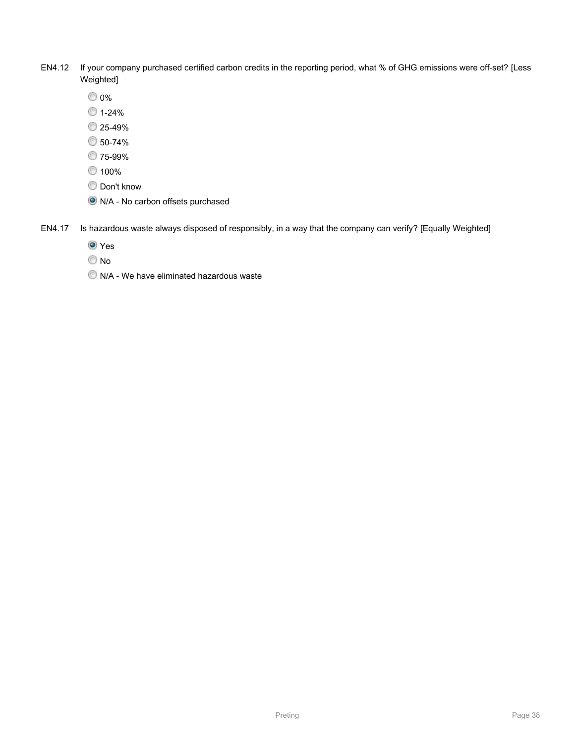- EN4.12 If your company purchased certified carbon credits in the reporting period, what % of GHG emissions were off-set? [Less Weighted]
	- 0%
	- $01-24%$
	- <sup>25-49</sup>%
	- 50-74%
	- 75-99%
	- <sup>100</sup>%
	- **Don't know**
	- N/A No carbon offsets purchased
- EN4.17 Is hazardous waste always disposed of responsibly, in a way that the company can verify? [Equally Weighted]
	- <sup>O</sup> Yes
	- © No
	- $\bullet$  N/A We have eliminated hazardous waste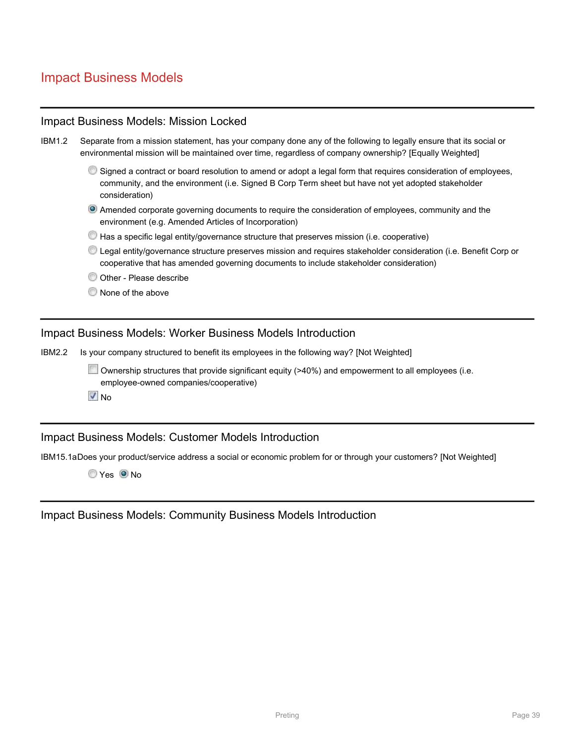# Impact Business Models

|               | <b>Impact Business Models: Mission Locked</b>                                                                                                                                                                                          |
|---------------|----------------------------------------------------------------------------------------------------------------------------------------------------------------------------------------------------------------------------------------|
| <b>IBM1.2</b> | Separate from a mission statement, has your company done any of the following to legally ensure that its social or<br>environmental mission will be maintained over time, regardless of company ownership? [Equally Weighted]          |
|               | Signed a contract or board resolution to amend or adopt a legal form that requires consideration of employees,<br>community, and the environment (i.e. Signed B Corp Term sheet but have not yet adopted stakeholder<br>consideration) |
|               | <sup>o</sup> Amended corporate governing documents to require the consideration of employees, community and the<br>environment (e.g. Amended Articles of Incorporation)                                                                |
|               | Has a specific legal entity/governance structure that preserves mission (i.e. cooperative)                                                                                                                                             |
|               | © Legal entity/governance structure preserves mission and requires stakeholder consideration (i.e. Benefit Corp or<br>cooperative that has amended governing documents to include stakeholder consideration)                           |
|               | Other - Please describe                                                                                                                                                                                                                |
|               | None of the above                                                                                                                                                                                                                      |
|               | <b>Impact Business Models: Worker Business Models Introduction</b>                                                                                                                                                                     |
| <b>IBM2.2</b> | Is your company structured to benefit its employees in the following way? [Not Weighted]                                                                                                                                               |
|               | Ownership structures that provide significant equity (>40%) and empowerment to all employees (i.e.<br>employee-owned companies/cooperative)<br>$\sqrt{N}$ No                                                                           |
|               |                                                                                                                                                                                                                                        |
|               | <b>Impact Business Models: Customer Models Introduction</b>                                                                                                                                                                            |

IBM15.1aDoes your product/service address a social or economic problem for or through your customers? [Not Weighted]

Yes ONo

Impact Business Models: Community Business Models Introduction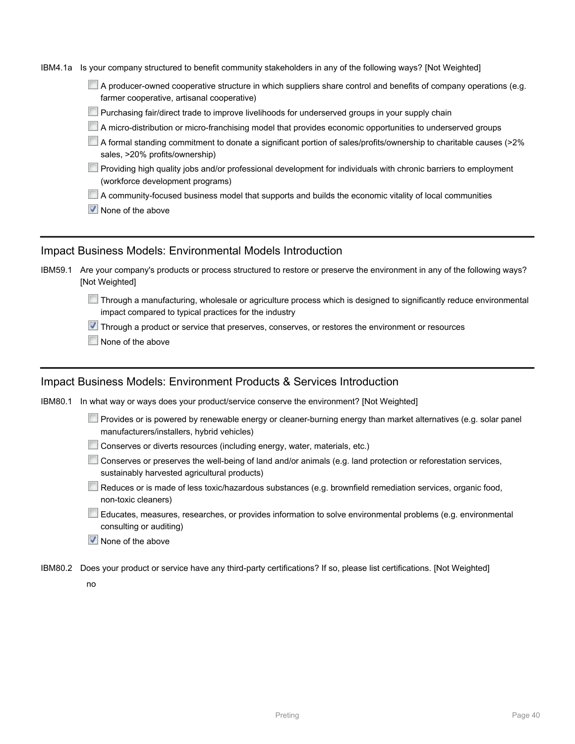IBM4.1a Is your company structured to benefit community stakeholders in any of the following ways? [Not Weighted]

 $\Box$  A producer-owned cooperative structure in which suppliers share control and benefits of company operations (e.g. farmer cooperative, artisanal cooperative)

- $\Box$  Purchasing fair/direct trade to improve livelihoods for underserved groups in your supply chain
- A micro-distribution or micro-franchising model that provides economic opportunities to underserved groups
- A formal standing commitment to donate a significant portion of sales/profits/ownership to charitable causes (>2% sales, >20% profits/ownership)
- $\Box$  Providing high quality jobs and/or professional development for individuals with chronic barriers to employment (workforce development programs)
- A community-focused business model that supports and builds the economic vitality of local communities
- $\sqrt{\phantom{a}}$  None of the above

### Impact Business Models: Environmental Models Introduction

| IBM59.1 Are your company's products or process structured to restore or preserve the environment in any of the following ways? |
|--------------------------------------------------------------------------------------------------------------------------------|
| [Not Weighted]                                                                                                                 |

 $\square$  Through a manufacturing, wholesale or agriculture process which is designed to significantly reduce environmental impact compared to typical practices for the industry

**V** Through a product or service that preserves, conserves, or restores the environment or resources

None of the above

### Impact Business Models: Environment Products & Services Introduction

IBM80.1 In what way or ways does your product/service conserve the environment? [Not Weighted]

- Provides or is powered by renewable energy or cleaner-burning energy than market alternatives (e.g. solar panel manufacturers/installers, hybrid vehicles)
- Conserves or diverts resources (including energy, water, materials, etc.)
- Conserves or preserves the well-being of land and/or animals (e.g. land protection or reforestation services, sustainably harvested agricultural products)
- Reduces or is made of less toxic/hazardous substances (e.g. brownfield remediation services, organic food, non-toxic cleaners)
- Educates, measures, researches, or provides information to solve environmental problems (e.g. environmental consulting or auditing)
- $\vee$  None of the above
- IBM80.2 Does your product or service have any third-party certifications? If so, please list certifications. [Not Weighted]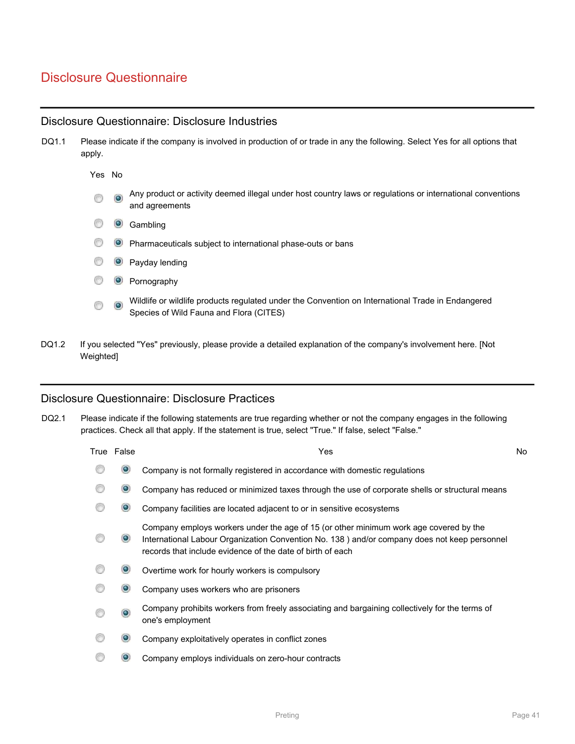# Disclosure Questionnaire

### Disclosure Questionnaire: Disclosure Industries

| DQ1.1 | Please indicate if the company is involved in production of or trade in any the following. Select Yes for all options that<br>apply. |              |                                                                                                                                              |
|-------|--------------------------------------------------------------------------------------------------------------------------------------|--------------|----------------------------------------------------------------------------------------------------------------------------------------------|
|       | Yes No                                                                                                                               |              |                                                                                                                                              |
|       | 0                                                                                                                                    | $\bullet$    | Any product or activity deemed illegal under host country laws or regulations or international conventions<br>and agreements                 |
|       | 6                                                                                                                                    | $\bullet$    | Gambling                                                                                                                                     |
|       | G                                                                                                                                    | $\mathbf{O}$ | Pharmaceuticals subject to international phase-outs or bans                                                                                  |
|       | G                                                                                                                                    | $\bullet$    | Payday lending                                                                                                                               |
|       | 6                                                                                                                                    | $\bullet$    | Pornography                                                                                                                                  |
|       | 6                                                                                                                                    | $\bullet$    | Wildlife or wildlife products regulated under the Convention on International Trade in Endangered<br>Species of Wild Fauna and Flora (CITES) |
|       |                                                                                                                                      |              |                                                                                                                                              |

DQ1.2 If you selected "Yes" previously, please provide a detailed explanation of the company's involvement here. [Not Weighted]

### Disclosure Questionnaire: Disclosure Practices

DQ2.1 Please indicate if the following statements are true regarding whether or not the company engages in the following practices. Check all that apply. If the statement is true, select "True." If false, select "False."

| True False        | Yes                                                                                                                                                                                                                                                 | No |
|-------------------|-----------------------------------------------------------------------------------------------------------------------------------------------------------------------------------------------------------------------------------------------------|----|
| $\bullet$         | Company is not formally registered in accordance with domestic regulations                                                                                                                                                                          |    |
| $\bullet$         | Company has reduced or minimized taxes through the use of corporate shells or structural means                                                                                                                                                      |    |
| $\mathbf{\Theta}$ | Company facilities are located adjacent to or in sensitive ecosystems                                                                                                                                                                               |    |
| $\bullet$         | Company employs workers under the age of 15 (or other minimum work age covered by the<br>International Labour Organization Convention No. 138) and/or company does not keep personnel<br>records that include evidence of the date of birth of each |    |
| $\bullet$         | Overtime work for hourly workers is compulsory                                                                                                                                                                                                      |    |
| $\mathbf{\Theta}$ | Company uses workers who are prisoners                                                                                                                                                                                                              |    |
| $\bullet$         | Company prohibits workers from freely associating and bargaining collectively for the terms of<br>one's employment                                                                                                                                  |    |
| $\mathbf{\Theta}$ | Company exploitatively operates in conflict zones                                                                                                                                                                                                   |    |
|                   | Company employs individuals on zero-hour contracts                                                                                                                                                                                                  |    |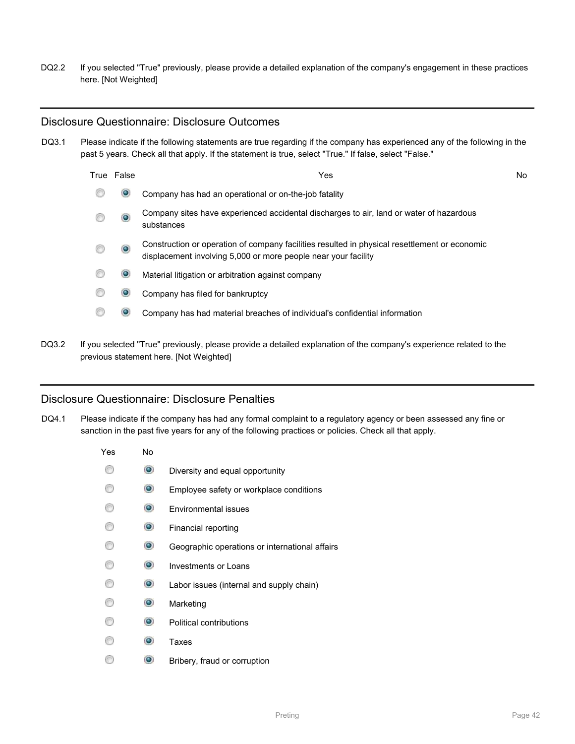DQ2.2 If you selected "True" previously, please provide a detailed explanation of the company's engagement in these practices here. [Not Weighted]

#### Disclosure Questionnaire: Disclosure Outcomes

DQ3.1 Please indicate if the following statements are true regarding if the company has experienced any of the following in the past 5 years. Check all that apply. If the statement is true, select "True." If false, select "False."

| True False | Yes                                                                                                                                                             | No |
|------------|-----------------------------------------------------------------------------------------------------------------------------------------------------------------|----|
| $\bullet$  | Company has had an operational or on-the-job fatality                                                                                                           |    |
| $\bullet$  | Company sites have experienced accidental discharges to air, land or water of hazardous<br>substances                                                           |    |
| $\bullet$  | Construction or operation of company facilities resulted in physical resettlement or economic<br>displacement involving 5,000 or more people near your facility |    |
| $\bullet$  | Material litigation or arbitration against company                                                                                                              |    |
| $\bullet$  | Company has filed for bankruptcy                                                                                                                                |    |
| $\bullet$  | Company has had material breaches of individual's confidential information                                                                                      |    |
|            |                                                                                                                                                                 |    |

DQ3.2 If you selected "True" previously, please provide a detailed explanation of the company's experience related to the previous statement here. [Not Weighted]

### Disclosure Questionnaire: Disclosure Penalties

DQ4.1 Please indicate if the company has had any formal complaint to a regulatory agency or been assessed any fine or sanction in the past five years for any of the following practices or policies. Check all that apply.

| Yes | No             |                                                |
|-----|----------------|------------------------------------------------|
|     | $\bullet$      | Diversity and equal opportunity                |
|     | $\circledcirc$ | Employee safety or workplace conditions        |
| 8   | $\circledcirc$ | Environmental issues                           |
| 67  | $\circledcirc$ | Financial reporting                            |
| 67  | $\circledcirc$ | Geographic operations or international affairs |
| 61  | $\circledcirc$ | Investments or Loans                           |
| 61  | $\circledcirc$ | Labor issues (internal and supply chain)       |
| 65  | $\bullet$      | Marketing                                      |
| Œ   | $\circledcirc$ | <b>Political contributions</b>                 |
| Ħ   | $\circledcirc$ | Taxes                                          |
|     | ۰              | Bribery, fraud or corruption                   |